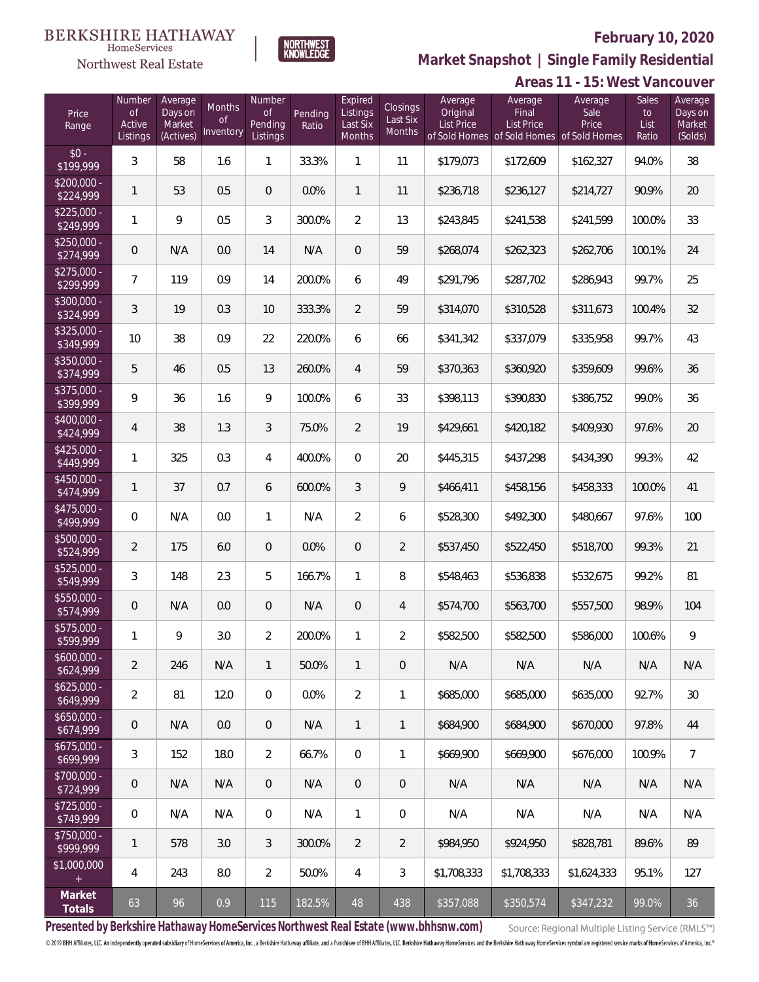

 $\label{lem:sevices} \textsc{Home} \textsc{Service} \textsc{s}$ Northwest Real Estate

**Market Snapshot | Single Family Residential**

|                           |                                           |                                           |                                  |                                     |                  |                                           |                                       |                                   |                                                                                    | Areas 11 - 15: West Vancouver |                              |                                         |
|---------------------------|-------------------------------------------|-------------------------------------------|----------------------------------|-------------------------------------|------------------|-------------------------------------------|---------------------------------------|-----------------------------------|------------------------------------------------------------------------------------|-------------------------------|------------------------------|-----------------------------------------|
| Price<br>Range            | Number<br><b>of</b><br>Active<br>Listings | Average<br>Days on<br>Market<br>(Actives) | Months<br><b>of</b><br>Inventory | Number<br>Οf<br>Pending<br>Listings | Pending<br>Ratio | Expired<br>Listings<br>Last Six<br>Months | <b>Closings</b><br>Last Six<br>Months | Average<br>Original<br>List Price | Average<br>Final<br><b>List Price</b><br>of Sold Homes of Sold Homes of Sold Homes | Average<br>Sale<br>Price      | Sales<br>to<br>List<br>Ratio | Average<br>Days on<br>Market<br>(Solds) |
| $$0 -$<br>\$199,999       | 3                                         | 58                                        | 1.6                              | 1                                   | 33.3%            | 1                                         | 11                                    | \$179,073                         | \$172,609                                                                          | \$162,327                     | 94.0%                        | 38                                      |
| $$200,000 -$<br>\$224,999 | 1                                         | 53                                        | 0.5                              | $\theta$                            | 0.0%             | $\mathbf{1}$                              | 11                                    | \$236,718                         | \$236,127                                                                          | \$214,727                     | 90.9%                        | 20                                      |
| $$225,000 -$<br>\$249,999 | 1                                         | 9                                         | 0.5                              | 3                                   | 300.0%           | $\overline{2}$                            | 13                                    | \$243,845                         | \$241,538                                                                          | \$241,599                     | 100.0%                       | 33                                      |
| $$250,000 -$<br>\$274,999 | $\mathsf{O}\xspace$                       | N/A                                       | 0.0                              | 14                                  | N/A              | $\mathbf 0$                               | 59                                    | \$268,074                         | \$262,323                                                                          | \$262,706                     | 100.1%                       | 24                                      |
| $$275,000 -$<br>\$299,999 | 7                                         | 119                                       | 0.9                              | 14                                  | 200.0%           | 6                                         | 49                                    | \$291,796                         | \$287,702                                                                          | \$286,943                     | 99.7%                        | 25                                      |
| $$300,000 -$<br>\$324,999 | 3                                         | 19                                        | 0.3                              | 10                                  | 333.3%           | $\overline{2}$                            | 59                                    | \$314,070                         | \$310,528                                                                          | \$311,673                     | 100.4%                       | 32                                      |
| $$325,000 -$<br>\$349,999 | 10                                        | 38                                        | 0.9                              | 22                                  | 220.0%           | 6                                         | 66                                    | \$341,342                         | \$337,079                                                                          | \$335,958                     | 99.7%                        | 43                                      |
| $$350,000 -$<br>\$374,999 | 5                                         | 46                                        | 0.5                              | 13                                  | 260.0%           | $\overline{4}$                            | 59                                    | \$370,363                         | \$360,920                                                                          | \$359,609                     | 99.6%                        | 36                                      |
| $$375,000 -$<br>\$399,999 | 9                                         | 36                                        | 1.6                              | 9                                   | 100.0%           | 6                                         | 33                                    | \$398,113                         | \$390,830                                                                          | \$386,752                     | 99.0%                        | 36                                      |
| $$400,000 -$<br>\$424,999 | 4                                         | 38                                        | 1.3                              | 3                                   | 75.0%            | $\overline{2}$                            | 19                                    | \$429,661                         | \$420,182                                                                          | \$409,930                     | 97.6%                        | 20                                      |
| $$425,000 -$<br>\$449,999 | $\mathbf{1}$                              | 325                                       | 0.3                              | 4                                   | 400.0%           | $\mathbf 0$                               | 20                                    | \$445,315                         | \$437,298                                                                          | \$434,390                     | 99.3%                        | 42                                      |
| $$450,000 -$<br>\$474,999 | $\mathbf{1}$                              | 37                                        | 0.7                              | 6                                   | 600.0%           | $\mathfrak{Z}$                            | 9                                     | \$466,411                         | \$458,156                                                                          | \$458,333                     | 100.0%                       | 41                                      |
| $$475,000 -$<br>\$499,999 | 0                                         | N/A                                       | 0.0                              | $\mathbf{1}$                        | N/A              | $\overline{2}$                            | 6                                     | \$528,300                         | \$492,300                                                                          | \$480,667                     | 97.6%                        | 100                                     |
| $$500,000 -$<br>\$524,999 | 2                                         | 175                                       | 6.0                              | $\theta$                            | 0.0%             | $\sqrt{2}$                                | $\overline{2}$                        | \$537,450                         | \$522,450                                                                          | \$518,700                     | 99.3%                        | 21                                      |
| $$525,000 -$<br>\$549,999 | 3                                         | 148                                       | 2.3                              | 5                                   | 166.7%           | 1                                         | 8                                     | \$548,463                         | \$536,838                                                                          | \$532,675                     | 99.2%                        | 81                                      |
| $$550,000 -$<br>\$574,999 | $\mathbf 0$                               | N/A                                       | 0.0                              | $\theta$                            | N/A              | $\theta$                                  | $\overline{4}$                        | \$574,700                         | \$563,700                                                                          | \$557,500                     | 98.9%                        | 104                                     |
| \$575,000 -<br>\$599,999  | 1                                         | 9                                         | 3.0                              | 2                                   | 200.0%           | 1                                         | 2                                     | \$582,500                         | \$582,500                                                                          | \$586,000                     | 100.6%                       | 9                                       |
| $$600,000 -$<br>\$624,999 | $\overline{2}$                            | 246                                       | N/A                              | $\mathbf{1}$                        | 50.0%            | 1                                         | $\theta$                              | N/A                               | N/A                                                                                | N/A                           | N/A                          | N/A                                     |
| $$625.000 -$<br>\$649,999 | $\overline{2}$                            | 81                                        | 12.0                             | 0                                   | 0.0%             | $\overline{2}$                            | 1                                     | \$685,000                         | \$685,000                                                                          | \$635,000                     | 92.7%                        | 30                                      |
| $$650,000 -$<br>\$674,999 | $\mathbf 0$                               | N/A                                       | 0.0                              | $\mathbf 0$                         | N/A              | 1                                         | 1                                     | \$684,900                         | \$684,900                                                                          | \$670,000                     | 97.8%                        | 44                                      |
| $$675,000 -$<br>\$699,999 | 3                                         | 152                                       | 18.0                             | $\overline{2}$                      | 66.7%            | $\mathbf 0$                               | 1                                     | \$669,900                         | \$669,900                                                                          | \$676,000                     | 100.9%                       | $\overline{7}$                          |
| $$700.000 -$<br>\$724,999 | $\mathbf 0$                               | N/A                                       | N/A                              | $\theta$                            | N/A              | $\sqrt{2}$                                | $\sqrt{2}$                            | N/A                               | N/A                                                                                | N/A                           | N/A                          | N/A                                     |
| $$725,000 -$<br>\$749,999 | 0                                         | N/A                                       | N/A                              | 0                                   | N/A              | 1                                         | $\mathbf 0$                           | N/A                               | N/A                                                                                | N/A                           | N/A                          | N/A                                     |
| $$750,000 -$<br>\$999,999 | 1                                         | 578                                       | 3.0                              | $\sqrt{3}$                          | 300.0%           | 2                                         | $\overline{2}$                        | \$984,950                         | \$924,950                                                                          | \$828,781                     | 89.6%                        | 89                                      |
| \$1,000,000<br>$^{+}$     | 4                                         | 243                                       | 8.0                              | $\overline{2}$                      | 50.0%            | 4                                         | 3                                     | \$1,708,333                       | \$1,708,333                                                                        | \$1,624,333                   | 95.1%                        | 127                                     |
| Market<br>Totals          | 63                                        | 96                                        | 0.9                              | 115                                 | 182.5%           | 48                                        | 438                                   | \$357,088                         | \$350,574                                                                          | \$347,232                     | 99.0%                        | 36                                      |

**Presented by Berkshire Hathaway HomeServices Northwest Real Estate (www.bhhsnw.com)**

Source: Regional Multiple Listing Service (RMLS™)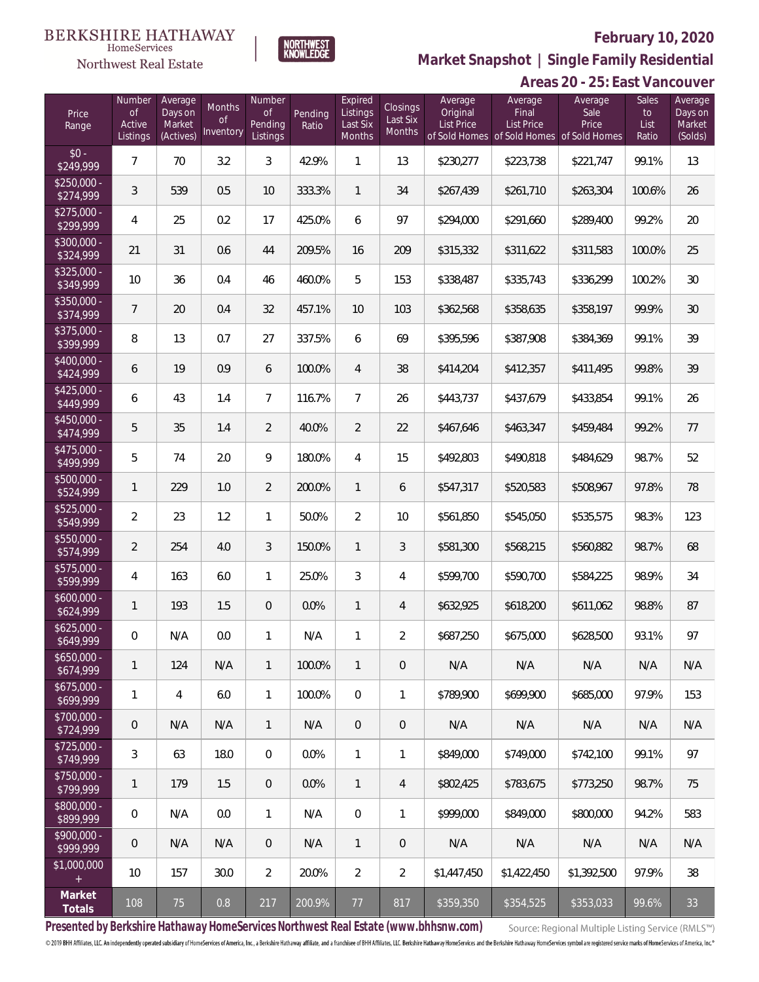

Number

**Expired** 

**Market Snapshot | Single Family Residential**

#### $\begin{array}{llll} \texttt{BERKSHIRE} \texttt{ HATHAWAY} \\ \texttt{\tiny HomeServices} \end{array}$ **NORTHWEST**<br>KNOWLEDGE Northwest Real Estate

Number Average

|            |                   | Areas 20 - 25: East Vancouver |       |         |
|------------|-------------------|-------------------------------|-------|---------|
| Average    | Average           | Average                       | Sales | Average |
| Original   | Final             | Sale.                         | tο    | Days on |
| List Price | <b>List Price</b> | <b>Price</b>                  | List  | Market  |

| Price<br>Range            | <b>of</b><br>Active<br>Listings | Days on<br>Market<br>(Actives) | <b>Months</b><br>0f<br>Inventory | <b>of</b><br>Pending<br>Listings | Pending<br>Ratio | Listings<br>Last Six<br>Months | Closings<br>Last Six<br>Months | Original<br><b>List Price</b> | Final<br><b>List Price</b><br>of Sold Homes of Sold Homes of Sold Homes | Sale<br>Price | to<br>List<br>Ratio | Days on<br>Market<br>(Solds) |
|---------------------------|---------------------------------|--------------------------------|----------------------------------|----------------------------------|------------------|--------------------------------|--------------------------------|-------------------------------|-------------------------------------------------------------------------|---------------|---------------------|------------------------------|
| $$0 -$<br>\$249,999       | $\overline{7}$                  | 70                             | 3.2                              | 3                                | 42.9%            | 1                              | 13                             | \$230,277                     | \$223,738                                                               | \$221,747     | 99.1%               | 13                           |
| $$250,000 -$<br>\$274,999 | 3                               | 539                            | 0.5                              | 10                               | 333.3%           | 1                              | 34                             | \$267,439                     | \$261,710                                                               | \$263,304     | 100.6%              | 26                           |
| $$275,000 -$<br>\$299,999 | 4                               | 25                             | 0.2                              | 17                               | 425.0%           | 6                              | 97                             | \$294,000                     | \$291,660                                                               | \$289,400     | 99.2%               | 20                           |
| $$300,000 -$<br>\$324,999 | 21                              | 31                             | 0.6                              | 44                               | 209.5%           | 16                             | 209                            | \$315,332                     | \$311,622                                                               | \$311,583     | 100.0%              | 25                           |
| $$325,000 -$<br>\$349,999 | 10                              | 36                             | 0.4                              | 46                               | 460.0%           | 5                              | 153                            | \$338,487                     | \$335,743                                                               | \$336,299     | 100.2%              | $30\,$                       |
| \$350,000 -<br>\$374,999  | 7                               | 20                             | 0.4                              | 32                               | 457.1%           | 10                             | 103                            | \$362,568                     | \$358,635                                                               | \$358,197     | 99.9%               | $30\,$                       |
| \$375,000 -<br>\$399,999  | 8                               | 13                             | 0.7                              | 27                               | 337.5%           | 6                              | 69                             | \$395,596                     | \$387,908                                                               | \$384,369     | 99.1%               | 39                           |
| \$400,000 -<br>\$424,999  | 6                               | 19                             | 0.9                              | 6                                | 100.0%           | $\overline{4}$                 | 38                             | \$414,204                     | \$412,357                                                               | \$411,495     | 99.8%               | 39                           |
| $$425,000 -$<br>\$449,999 | 6                               | 43                             | 1.4                              | $\overline{7}$                   | 116.7%           | 7                              | 26                             | \$443,737                     | \$437,679                                                               | \$433,854     | 99.1%               | 26                           |
| $$450,000 -$<br>\$474,999 | 5                               | 35                             | 1.4                              | $\overline{2}$                   | 40.0%            | $\overline{2}$                 | 22                             | \$467,646                     | \$463,347                                                               | \$459,484     | 99.2%               | 77                           |
| $$475,000 -$<br>\$499,999 | 5                               | 74                             | 2.0                              | 9                                | 180.0%           | 4                              | 15                             | \$492,803                     | \$490,818                                                               | \$484,629     | 98.7%               | 52                           |
| $$500,000 -$<br>\$524,999 | 1                               | 229                            | 1.0                              | $\overline{2}$                   | 200.0%           | $\mathbf{1}$                   | 6                              | \$547,317                     | \$520,583                                                               | \$508,967     | 97.8%               | 78                           |
| $$525,000 -$<br>\$549,999 | $\overline{2}$                  | 23                             | 1.2                              | $\mathbf{1}$                     | 50.0%            | $\overline{2}$                 | 10                             | \$561,850                     | \$545,050                                                               | \$535,575     | 98.3%               | 123                          |
| \$550,000 -<br>\$574,999  | $\overline{2}$                  | 254                            | 4.0                              | 3                                | 150.0%           | $\mathbf{1}$                   | 3                              | \$581,300                     | \$568,215                                                               | \$560,882     | 98.7%               | 68                           |
| \$575,000 -<br>\$599,999  | $\overline{4}$                  | 163                            | 6.0                              | $\mathbf{1}$                     | 25.0%            | 3                              | 4                              | \$599,700                     | \$590,700                                                               | \$584,225     | 98.9%               | 34                           |
| $$600,000 -$<br>\$624,999 | 1                               | 193                            | 1.5                              | $\overline{0}$                   | 0.0%             | 1                              | 4                              | \$632,925                     | \$618,200                                                               | \$611,062     | 98.8%               | 87                           |
| $$625,000 -$<br>\$649,999 | 0                               | N/A                            | 0.0                              | $\mathbf{1}$                     | N/A              | 1                              | $\overline{2}$                 | \$687,250                     | \$675,000                                                               | \$628,500     | 93.1%               | 97                           |
| $$650,000 -$<br>\$674,999 |                                 | 124                            | N/A                              | 1                                | 100.0%           |                                | $\mathbf{0}$                   | N/A                           | N/A                                                                     | N/A           | N/A                 | N/A                          |
| $$675,000 -$<br>\$699,999 | $\mathbf{1}$                    | 4                              | 6.0                              | $\mathbf{1}$                     | 100.0%           | $\mathbf{0}$                   | 1                              | \$789,900                     | \$699.900                                                               | \$685,000     | 97.9%               | 153                          |
| \$700,000 -<br>\$724,999  | $\mathbf 0$                     | N/A                            | N/A                              | $\mathbf{1}$                     | N/A              | $\overline{0}$                 | $\overline{0}$                 | N/A                           | N/A                                                                     | N/A           | N/A                 | N/A                          |
| $$725,000 -$<br>\$749,999 | $\mathfrak{Z}$                  | 63                             | 18.0                             | $\overline{0}$                   | 0.0%             | $\mathbf{1}$                   | 1                              | \$849,000                     | \$749,000                                                               | \$742,100     | 99.1%               | 97                           |
| $$750,000 -$<br>\$799,999 | 1                               | 179                            | 1.5                              | $\overline{0}$                   | 0.0%             | $\mathbf{1}$                   | 4                              | \$802,425                     | \$783.675                                                               | \$773.250     | 98.7%               | 75                           |
| \$800,000 -<br>\$899,999  | $\mathbf 0$                     | N/A                            | 0.0                              | $\mathbf{1}$                     | N/A              | $\mathbf 0$                    | 1                              | \$999,000                     | \$849,000                                                               | \$800,000     | 94.2%               | 583                          |
| $$900,000 -$<br>\$999,999 | $\mathbf 0$                     | N/A                            | N/A                              | $\overline{0}$                   | N/A              | $\mathbf{1}$                   | $\overline{0}$                 | N/A                           | N/A                                                                     | N/A           | N/A                 | N/A                          |
| \$1,000,000<br>$+$        | 10                              | 157                            | 30.0                             | $\overline{2}$                   | 20.0%            | $\overline{2}$                 | $\overline{2}$                 | \$1,447,450                   | \$1,422,450                                                             | \$1,392,500   | 97.9%               | 38                           |
| Market<br>Totals          | 108                             | 75                             | 0.8                              | 217                              | 200.9%           | 77                             | 817                            | \$359,350                     | \$354,525                                                               | \$353,033     | 99.6%               | 33                           |

**Presented by Berkshire Hathaway HomeServices Northwest Real Estate (www.bhhsnw.com)**

Source: Regional Multiple Listing Service (RMLS™)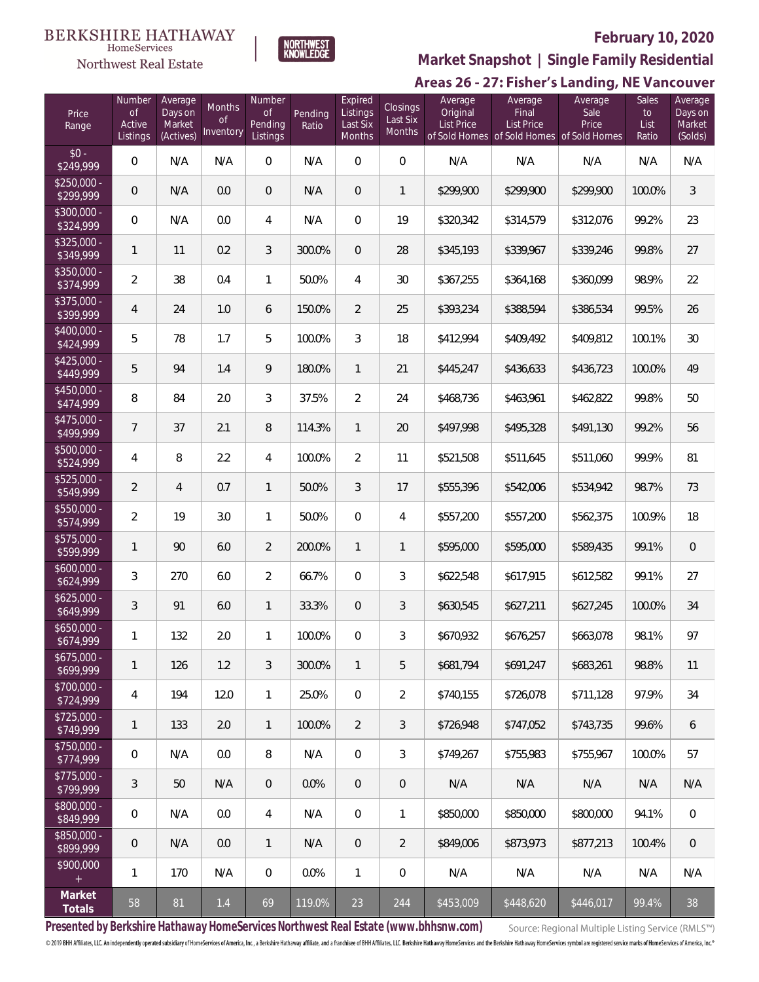#### **BERKSHIRE HATHAWAY**  $\label{lem:sevices} \textsc{Home} \textsc{Service} \textsc{s}$





# **February 10, 2020**

**Market Snapshot | Single Family Residential**

## Areas 26 - 27: Fisher's Landing, NE Vancouver

| Price<br>Range                    | Number<br>$\mathsf{of}$<br>Active<br>Listings | Average<br>Days on<br>Market<br>(Actives) | Months<br><sub>of</sub><br>Inventory | Number<br><b>of</b><br>Pending<br>Listings | Pending<br>Ratio | Expired<br>Listings<br>Last Six<br><b>Months</b> | <b>Closings</b><br>Last Six<br>Months | Average<br>Original<br><b>List Price</b> | Average<br>Final<br>List Price | Average<br>Sale<br>Price<br>of Sold Homes of Sold Homes of Sold Homes | Sales<br>to<br>List<br>Ratio | Average<br>Days on<br>Market<br>(Solds) |
|-----------------------------------|-----------------------------------------------|-------------------------------------------|--------------------------------------|--------------------------------------------|------------------|--------------------------------------------------|---------------------------------------|------------------------------------------|--------------------------------|-----------------------------------------------------------------------|------------------------------|-----------------------------------------|
| $$0 -$<br>\$249,999               | $\overline{0}$                                | N/A                                       | N/A                                  | $\mathbf{0}$                               | N/A              | 0                                                | $\mathbf{0}$                          | N/A                                      | N/A                            | N/A                                                                   | N/A                          | N/A                                     |
| $$250,000 -$<br>\$299,999         | $\overline{0}$                                | N/A                                       | 0.0                                  | $\theta$                                   | N/A              | 0                                                | 1                                     | \$299,900                                | \$299,900                      | \$299,900                                                             | 100.0%                       | $\mathfrak{Z}$                          |
| $$300,000 -$<br>\$324,999         | $\mathbf 0$                                   | N/A                                       | 0.0                                  | $\overline{4}$                             | N/A              | 0                                                | 19                                    | \$320,342                                | \$314,579                      | \$312,076                                                             | 99.2%                        | 23                                      |
| $$325.000 -$<br>\$349,999         | 1                                             | 11                                        | 0.2                                  | 3                                          | 300.0%           | 0                                                | 28                                    | \$345,193                                | \$339,967                      | \$339,246                                                             | 99.8%                        | 27                                      |
| \$350,000 -<br>\$374,999          | $\overline{2}$                                | 38                                        | 0.4                                  | $\mathbf{1}$                               | 50.0%            | 4                                                | 30                                    | \$367,255                                | \$364,168                      | \$360,099                                                             | 98.9%                        | 22                                      |
| $$375,000 -$<br>\$399,999         | 4                                             | 24                                        | 1.0                                  | 6                                          | 150.0%           | $\overline{2}$                                   | 25                                    | \$393,234                                | \$388,594                      | \$386,534                                                             | 99.5%                        | 26                                      |
| \$400,000 -<br>\$424,999          | 5                                             | 78                                        | 1.7                                  | 5                                          | 100.0%           | 3                                                | 18                                    | \$412,994                                | \$409,492                      | \$409,812                                                             | 100.1%                       | $30\,$                                  |
| $$425,000 -$<br>\$449,999         | 5                                             | 94                                        | 1.4                                  | 9                                          | 180.0%           | $\mathbf{1}$                                     | 21                                    | \$445,247                                | \$436,633                      | \$436,723                                                             | 100.0%                       | 49                                      |
| $$450,000 -$<br>\$474,999         | $\, 8$                                        | 84                                        | 2.0                                  | 3                                          | 37.5%            | $\overline{2}$                                   | 24                                    | \$468,736                                | \$463,961                      | \$462,822                                                             | 99.8%                        | 50                                      |
| $$475,000 -$<br>\$499,999         | $\overline{7}$                                | 37                                        | 2.1                                  | 8                                          | 114.3%           | $\mathbf{1}$                                     | 20                                    | \$497,998                                | \$495,328                      | \$491,130                                                             | 99.2%                        | 56                                      |
| \$500,000 -<br>\$524,999          | 4                                             | 8                                         | 2.2                                  | 4                                          | 100.0%           | $\overline{2}$                                   | 11                                    | \$521,508                                | \$511,645                      | \$511,060                                                             | 99.9%                        | 81                                      |
| \$525,000 -<br>\$549,999          | $\overline{2}$                                | $\overline{4}$                            | 0.7                                  | 1                                          | 50.0%            | 3                                                | 17                                    | \$555,396                                | \$542,006                      | \$534,942                                                             | 98.7%                        | 73                                      |
| \$550,000 -<br>\$574,999          | $\overline{2}$                                | 19                                        | 3.0                                  | $\mathbf{1}$                               | 50.0%            | $\overline{0}$                                   | 4                                     | \$557,200                                | \$557,200                      | \$562,375                                                             | 100.9%                       | 18                                      |
| $$575,000 -$<br>\$599,999         | $\mathbf{1}$                                  | 90                                        | 6.0                                  | $\overline{2}$                             | 200.0%           | $\mathbf{1}$                                     | 1                                     | \$595,000                                | \$595,000                      | \$589,435                                                             | 99.1%                        | $\,0\,$                                 |
| $$600,000 -$<br>$\sqrt{$624,999}$ | 3                                             | 270                                       | 6.0                                  | $\overline{2}$                             | 66.7%            | 0                                                | 3                                     | \$622,548                                | \$617,915                      | \$612,582                                                             | 99.1%                        | 27                                      |
| $$625,000 -$<br>\$649,999         | 3                                             | 91                                        | 6.0                                  | $\mathbf{1}$                               | 33.3%            | 0                                                | 3                                     | \$630,545                                | \$627,211                      | \$627,245                                                             | 100.0%                       | 34                                      |
| $$650,000 -$<br>\$674,999         | $\mathbf{1}$                                  | 132                                       | 2.0                                  | 1                                          | 100.0%           | 0                                                | 3                                     | \$670,932                                | \$676,257                      | \$663,078                                                             | 98.1%                        | 97                                      |
| $$675,000 -$<br>\$699,999         | 1                                             | 126                                       | 1.2                                  | 3                                          | 300.0%           | $\mathbf{1}$                                     | 5                                     | \$681,794                                | \$691,247                      | \$683,261                                                             | 98.8%                        | 11                                      |
| $$700,000 -$<br>\$724,999         | 4                                             | 194                                       | 12.0                                 | $\mathbf{1}$                               | 25.0%            | 0                                                | $\overline{2}$                        | \$740,155                                | \$726,078                      | \$711,128                                                             | 97.9%                        | 34                                      |
| $$725,000 -$<br>\$749,999         | $\mathbf{1}$                                  | 133                                       | 2.0                                  | $\mathbf{1}$                               | 100.0%           | 2                                                | 3                                     | \$726,948                                | \$747,052                      | \$743,735                                                             | 99.6%                        | 6                                       |
| $$750,000 -$<br>\$774,999         | $\overline{0}$                                | N/A                                       | 0.0                                  | 8                                          | N/A              | 0                                                | 3                                     | \$749,267                                | \$755,983                      | \$755,967                                                             | 100.0%                       | 57                                      |
| $$775,000 -$<br>\$799,999         | 3                                             | 50                                        | N/A                                  | $\overline{0}$                             | 0.0%             | $\overline{0}$                                   | $\mathbf 0$                           | N/A                                      | N/A                            | N/A                                                                   | N/A                          | N/A                                     |
| \$800,000 -<br>\$849,999          | $\overline{0}$                                | N/A                                       | 0.0                                  | 4                                          | N/A              | 0                                                | 1                                     | \$850,000                                | \$850,000                      | \$800,000                                                             | 94.1%                        | $\mathbf 0$                             |
| \$850,000 -<br>\$899,999          | $\theta$                                      | N/A                                       | 0.0                                  | $\mathbf{1}$                               | N/A              | $\overline{0}$                                   | 2                                     | \$849,006                                | \$873,973                      | \$877,213                                                             | 100.4%                       | $\mathbf{0}$                            |
| \$900,000                         | $\mathbf{1}$                                  | 170                                       | N/A                                  | $\mathbf{0}$                               | 0.0%             | 1                                                | $\mathbf 0$                           | N/A                                      | N/A                            | N/A                                                                   | N/A                          | N/A                                     |
| Market<br>Totals                  | 58                                            | 81                                        | $1.4$                                | 69                                         | 119.0%           | 23                                               | 244                                   | \$453,009                                | \$448,620                      | \$446,017                                                             | 99.4%                        | 38                                      |

**Presented by Berkshire Hathaway HomeServices Northwest Real Estate (www.bhhsnw.com)**

Source: Regional Multiple Listing Service (RMLS™)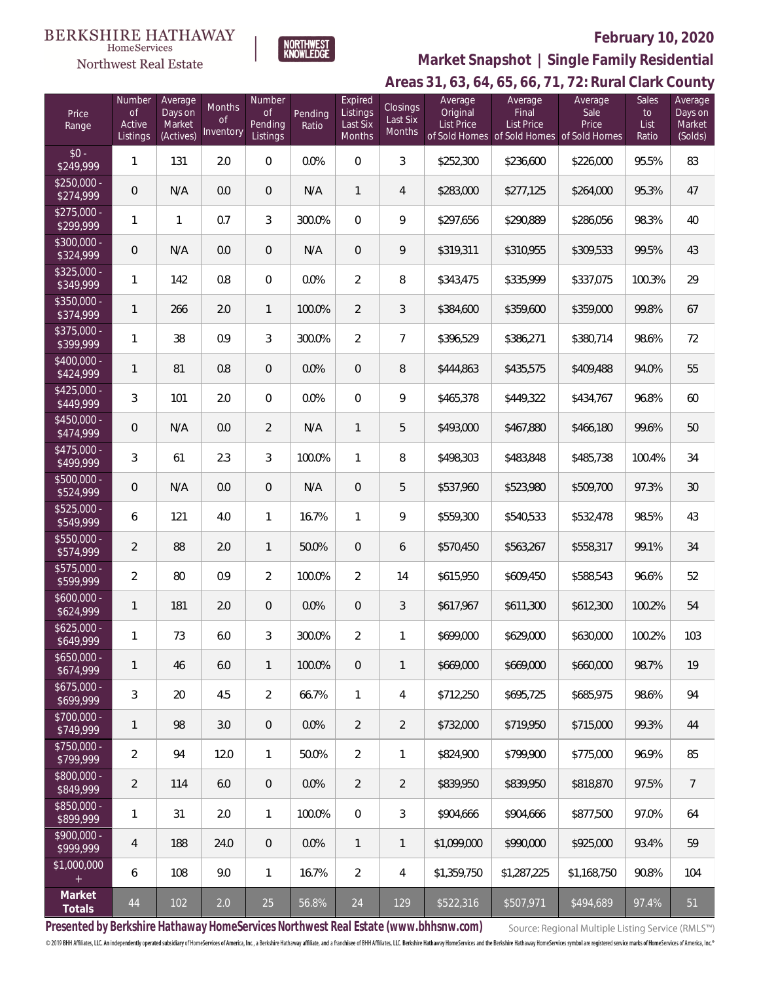#### **BERKSHIRE HATHAWAY**  $\label{lem:sevices} \textsc{Home} \textsc{Service} \textsc{s}$

Northwest Real Estate



## **February 10, 2020**

### **Areas 31, 63, 64, 65, 66, 71, 72: Rural Clark County Market Snapshot | Single Family Residential**

| Price<br>Range            | Number<br><b>of</b><br>Active<br>Listings | Average<br>Days on<br>Market<br>(Actives) | Months<br>0f<br><b>Inventory</b> | Number<br>Οf<br>Pending<br>Listings | Pending<br>Ratio | Expired<br>Listings<br>Last Six<br>Months | Closings<br>Last Six<br>Months | Average<br>Original<br><b>List Price</b> | Average<br>Final<br><b>List Price</b><br>of Sold Homes of Sold Homes of Sold Homes | Average<br>Sale<br>Price | Sales<br>to<br>List<br>Ratio | Average<br>Days on<br>Market<br>(Solds) |
|---------------------------|-------------------------------------------|-------------------------------------------|----------------------------------|-------------------------------------|------------------|-------------------------------------------|--------------------------------|------------------------------------------|------------------------------------------------------------------------------------|--------------------------|------------------------------|-----------------------------------------|
| $$0 -$<br>\$249,999       | 1                                         | 131                                       | 2.0                              | $\overline{0}$                      | 0.0%             | $\overline{0}$                            | 3                              | \$252,300                                | \$236,600                                                                          | \$226,000                | 95.5%                        | 83                                      |
| $$250,000 -$<br>\$274,999 | $\overline{0}$                            | N/A                                       | 0.0                              | $\theta$                            | N/A              | $\mathbf{1}$                              | 4                              | \$283,000                                | \$277,125                                                                          | \$264,000                | 95.3%                        | 47                                      |
| $$275,000 -$<br>\$299,999 | $\mathbf{1}$                              | 1                                         | 0.7                              | 3                                   | 300.0%           | $\mathbf{0}$                              | 9                              | \$297,656                                | \$290,889                                                                          | \$286,056                | 98.3%                        | 40                                      |
| $$300,000 -$<br>\$324,999 | $\overline{0}$                            | N/A                                       | 0.0                              | $\theta$                            | N/A              | $\overline{0}$                            | 9                              | \$319,311                                | \$310,955                                                                          | \$309,533                | 99.5%                        | 43                                      |
| $$325.000 -$<br>\$349,999 | 1                                         | 142                                       | 0.8                              | $\boldsymbol{0}$                    | 0.0%             | $\overline{2}$                            | 8                              | \$343,475                                | \$335,999                                                                          | \$337,075                | 100.3%                       | 29                                      |
| $$350.000 -$<br>\$374,999 | 1                                         | 266                                       | 2.0                              | $\mathbf{1}$                        | 100.0%           | $\overline{2}$                            | 3                              | \$384,600                                | \$359,600                                                                          | \$359,000                | 99.8%                        | 67                                      |
| $$375,000 -$<br>\$399,999 | 1                                         | 38                                        | 0.9                              | 3                                   | 300.0%           | $\overline{2}$                            | $\overline{7}$                 | \$396,529                                | \$386,271                                                                          | \$380,714                | 98.6%                        | 72                                      |
| $$400.000 -$<br>\$424,999 | 1                                         | 81                                        | 0.8                              | $\overline{0}$                      | 0.0%             | $\overline{0}$                            | 8                              | \$444,863                                | \$435,575                                                                          | \$409,488                | 94.0%                        | 55                                      |
| $$425.000 -$<br>\$449,999 | 3                                         | 101                                       | 2.0                              | $\overline{0}$                      | 0.0%             | $\mathbf{0}$                              | 9                              | \$465,378                                | \$449,322                                                                          | \$434,767                | 96.8%                        | 60                                      |
| $$450.000 -$<br>\$474,999 | $\overline{0}$                            | N/A                                       | 0.0                              | $\overline{2}$                      | N/A              | 1                                         | 5                              | \$493,000                                | \$467,880                                                                          | \$466,180                | 99.6%                        | 50                                      |
| $$475.000 -$<br>\$499,999 | 3                                         | 61                                        | 2.3                              | 3                                   | 100.0%           | 1                                         | 8                              | \$498,303                                | \$483,848                                                                          | \$485,738                | 100.4%                       | 34                                      |
| $$500,000 -$<br>\$524,999 | 0                                         | N/A                                       | 0.0                              | $\boldsymbol{0}$                    | N/A              | $\overline{0}$                            | 5                              | \$537,960                                | \$523,980                                                                          | \$509,700                | 97.3%                        | $30\,$                                  |
| $$525,000 -$<br>\$549,999 | 6                                         | 121                                       | 4.0                              | $\mathbf{1}$                        | 16.7%            | 1                                         | 9                              | \$559,300                                | \$540,533                                                                          | \$532,478                | 98.5%                        | 43                                      |
| $$550,000 -$<br>\$574,999 | $\overline{2}$                            | 88                                        | 2.0                              | $\mathbf{1}$                        | 50.0%            | $\overline{0}$                            | 6                              | \$570,450                                | \$563,267                                                                          | \$558,317                | 99.1%                        | 34                                      |
| $$575,000 -$<br>\$599,999 | $\overline{2}$                            | 80                                        | 0.9                              | $\overline{2}$                      | 100.0%           | $\overline{2}$                            | 14                             | \$615,950                                | \$609,450                                                                          | \$588,543                | 96.6%                        | 52                                      |
| $$600,000 -$<br>\$624,999 | 1                                         | 181                                       | 2.0                              | $\overline{0}$                      | 0.0%             | $\mathbf 0$                               | 3                              | \$617,967                                | \$611,300                                                                          | \$612,300                | 100.2%                       | 54                                      |
| $$625,000 -$<br>\$649,999 | 1                                         | 73                                        | 6.0                              | 3                                   | 300.0%           | $\overline{2}$                            | 1                              | \$699,000                                | \$629,000                                                                          | \$630,000                | 100.2%                       | 103                                     |
| $$650,000 -$<br>\$674,999 | 1                                         | 46                                        | 6.0                              | $\mathbf{1}$                        | 100.0%           | $\overline{0}$                            | $\mathbf{1}$                   | \$669,000                                | \$669,000                                                                          | \$660,000                | 98.7%                        | 19                                      |
| $$675,000 -$<br>\$699,999 | 3                                         | 20                                        | 4.5                              | $\overline{2}$                      | 66.7%            | $\mathbf{1}$                              | 4                              | \$712,250                                | \$695,725                                                                          | \$685,975                | 98.6%                        | 94                                      |
| $$700,000 -$<br>\$749,999 | 1                                         | 98                                        | 3.0                              | $\overline{0}$                      | 0.0%             | $\overline{2}$                            | $\overline{2}$                 | \$732,000                                | \$719,950                                                                          | \$715,000                | 99.3%                        | 44                                      |
| $$750,000 -$<br>\$799,999 | $\overline{2}$                            | 94                                        | 12.0                             | $\mathbf{1}$                        | 50.0%            | $\overline{2}$                            | 1                              | \$824,900                                | \$799,900                                                                          | \$775,000                | 96.9%                        | 85                                      |
| $$800,000 -$<br>\$849,999 | $\overline{2}$                            | 114                                       | 6.0                              | $\overline{0}$                      | 0.0%             | $\overline{2}$                            | $\overline{2}$                 | \$839,950                                | \$839,950                                                                          | \$818,870                | 97.5%                        | $\overline{7}$                          |
| $$850,000 -$<br>\$899,999 | 1                                         | 31                                        | 2.0                              | $\mathbf{1}$                        | 100.0%           | $\overline{0}$                            | 3                              | \$904,666                                | \$904,666                                                                          | \$877,500                | 97.0%                        | 64                                      |
| $$900,000 -$<br>\$999,999 | $\overline{4}$                            | 188                                       | 24.0                             | $\theta$                            | 0.0%             | $\mathbf{1}$                              | 1                              | \$1,099,000                              | \$990,000                                                                          | \$925,000                | 93.4%                        | 59                                      |
| \$1,000,000               | 6                                         | 108                                       | 9.0                              | $\mathbf{1}$                        | 16.7%            | $\overline{2}$                            | 4                              | \$1,359,750                              | \$1,287,225                                                                        | \$1,168,750              | 90.8%                        | 104                                     |
| Market<br>Totals          | 44                                        | 102                                       | 2.0                              | 25                                  | 56.8%            | 24                                        | 129                            | \$522,316                                | \$507,971                                                                          | \$494,689                | 97.4%                        | 51                                      |

**Presented by Berkshire Hathaway HomeServices Northwest Real Estate (www.bhhsnw.com)**

Source: Regional Multiple Listing Service (RMLS™)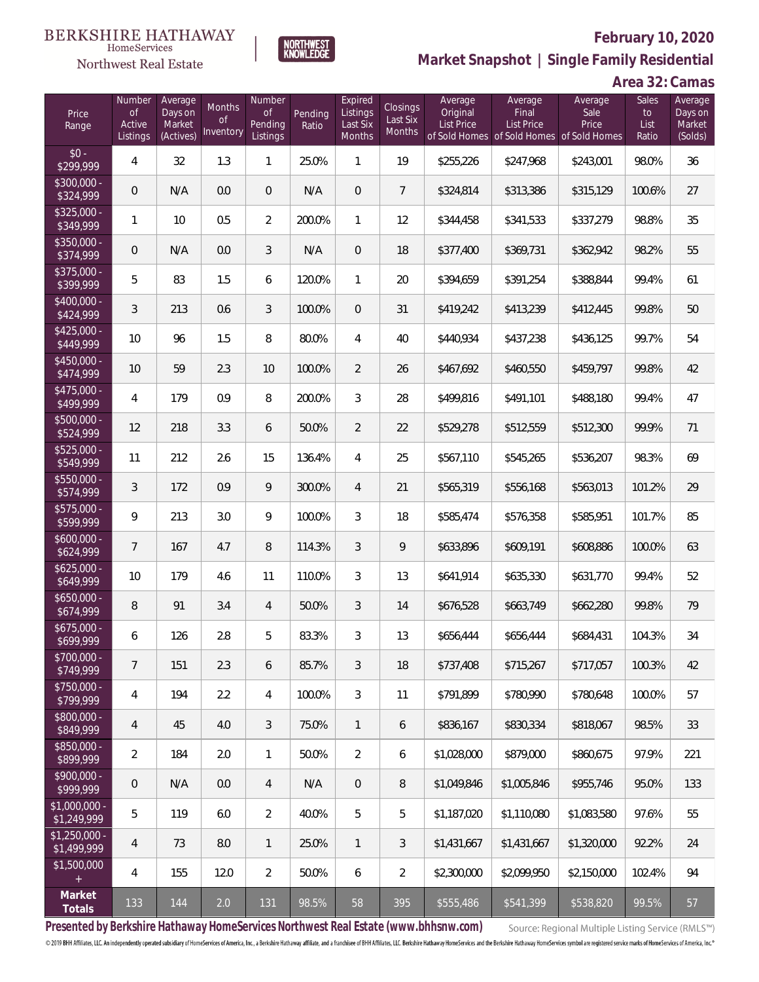#### **BERKSHIRE HATHAWAY** HomeServices



## **February 10, 2020**

**Market Snapshot | Single Family Residential**

## **Area 32: Camas**

| Price<br>Range                | Number<br><b>of</b><br>Active<br>Listings | Average<br>Days on<br>Market<br>(Actives) | Months<br>0f<br>Inventory | Number<br><b>of</b><br>Pending<br>Listings | Pending<br>Ratio | Expired<br>Listings<br>Last Six<br>Months | Closings<br>Last Six<br>Months | Average<br>Original<br><b>List Price</b> | Average<br>Final<br><b>List Price</b><br>of Sold Homes of Sold Homes of Sold Homes | Average<br>Sale<br>Price | Sales<br>to<br>List<br>Ratio | Average<br>Days on<br>Market<br>(Solds) |
|-------------------------------|-------------------------------------------|-------------------------------------------|---------------------------|--------------------------------------------|------------------|-------------------------------------------|--------------------------------|------------------------------------------|------------------------------------------------------------------------------------|--------------------------|------------------------------|-----------------------------------------|
| $$0 -$<br>\$299,999           | 4                                         | 32                                        | 1.3                       | $\mathbf{1}$                               | 25.0%            | $\mathbf{1}$                              | 19                             | \$255,226                                | \$247,968                                                                          | \$243,001                | 98.0%                        | 36                                      |
| $$300,000 -$<br>\$324,999     | $\overline{0}$                            | N/A                                       | 0.0                       | $\overline{0}$                             | N/A              | $\overline{0}$                            | $\overline{7}$                 | \$324,814                                | \$313,386                                                                          | \$315,129                | 100.6%                       | 27                                      |
| $$325,000 -$<br>\$349,999     | $\mathbf{1}$                              | 10                                        | 0.5                       | $\overline{2}$                             | 200.0%           | $\mathbf{1}$                              | 12                             | \$344,458                                | \$341,533                                                                          | \$337,279                | 98.8%                        | 35                                      |
| $$350,000 -$<br>\$374,999     | $\overline{0}$                            | N/A                                       | 0.0                       | 3                                          | N/A              | $\overline{0}$                            | 18                             | \$377,400                                | \$369,731                                                                          | \$362,942                | 98.2%                        | 55                                      |
| $$375,000 -$<br>\$399,999     | 5                                         | 83                                        | 1.5                       | 6                                          | 120.0%           | $\mathbf{1}$                              | 20                             | \$394,659                                | \$391,254                                                                          | \$388,844                | 99.4%                        | 61                                      |
| $$400,000 -$<br>\$424,999     | 3                                         | 213                                       | 0.6                       | 3                                          | 100.0%           | $\overline{0}$                            | 31                             | \$419,242                                | \$413,239                                                                          | \$412,445                | 99.8%                        | 50                                      |
| $$425,000 -$<br>\$449,999     | 10                                        | 96                                        | 1.5                       | 8                                          | 80.0%            | $\overline{4}$                            | 40                             | \$440,934                                | \$437,238                                                                          | \$436,125                | 99.7%                        | 54                                      |
| $$450,000 -$<br>\$474,999     | 10                                        | 59                                        | 2.3                       | 10                                         | 100.0%           | $\overline{2}$                            | 26                             | \$467,692                                | \$460,550                                                                          | \$459,797                | 99.8%                        | 42                                      |
| $$475,000 -$<br>\$499,999     | 4                                         | 179                                       | 0.9                       | 8                                          | 200.0%           | 3                                         | 28                             | \$499,816                                | \$491,101                                                                          | \$488,180                | 99.4%                        | 47                                      |
| \$500,000 -<br>\$524,999      | 12                                        | 218                                       | 3.3                       | 6                                          | 50.0%            | $\overline{2}$                            | 22                             | \$529,278                                | \$512,559                                                                          | \$512,300                | 99.9%                        | 71                                      |
| \$525,000 -<br>\$549,999      | 11                                        | 212                                       | 2.6                       | 15                                         | 136.4%           | $\overline{4}$                            | 25                             | \$567,110                                | \$545,265                                                                          | \$536,207                | 98.3%                        | 69                                      |
| $$550,000 -$<br>\$574,999     | $\mathfrak{Z}$                            | 172                                       | 0.9                       | 9                                          | 300.0%           | $\overline{4}$                            | 21                             | \$565,319                                | \$556,168                                                                          | \$563,013                | 101.2%                       | 29                                      |
| $$575,000 -$<br>\$599,999     | 9                                         | 213                                       | 3.0                       | 9                                          | 100.0%           | $\mathfrak{Z}$                            | 18                             | \$585,474                                | \$576,358                                                                          | \$585,951                | 101.7%                       | 85                                      |
| $$600,000 -$<br>\$624,999     | $\overline{7}$                            | 167                                       | 4.7                       | 8                                          | 114.3%           | $\mathfrak{Z}$                            | 9                              | \$633,896                                | \$609,191                                                                          | \$608,886                | 100.0%                       | 63                                      |
| $$625,000 -$<br>\$649,999     | 10                                        | 179                                       | 4.6                       | 11                                         | 110.0%           | 3                                         | 13                             | \$641,914                                | \$635,330                                                                          | \$631,770                | 99.4%                        | 52                                      |
| $$650,000 -$<br>\$674,999     | 8                                         | 91                                        | 3.4                       | $\overline{4}$                             | 50.0%            | $\mathfrak{Z}$                            | 14                             | \$676,528                                | \$663,749                                                                          | \$662,280                | 99.8%                        | 79                                      |
| $$675,000 -$<br>\$699,999     | 6                                         | 126                                       | 2.8                       | 5                                          | 83.3%            | $\mathfrak{Z}$                            | 13                             | \$656,444                                | \$656,444                                                                          | \$684,431                | 104.3%                       | 34                                      |
| $$700,000 -$<br>\$749,999     | $\overline{7}$                            | 151                                       | 2.3                       | 6                                          | 85.7%            | 3                                         | 18                             | \$737,408                                | \$715,267                                                                          | \$717,057                | 100.3%                       | 42                                      |
| $$750,000 -$<br>\$799,999     | 4                                         | 194                                       | 2.2                       | $\overline{4}$                             | 100.0%           | $\mathfrak{Z}$                            | 11                             | \$791,899                                | \$780,990                                                                          | \$780,648                | 100.0%                       | 57                                      |
| \$800,000 -<br>\$849,999      | $\overline{4}$                            | 45                                        | 4.0                       | $\mathfrak{Z}$                             | 75.0%            | $\mathbf{1}$                              | 6                              | \$836,167                                | \$830,334                                                                          | \$818,067                | 98.5%                        | 33                                      |
| $$850,000 -$<br>\$899,999     | $\overline{2}$                            | 184                                       | 2.0                       | $\mathbf{1}$                               | 50.0%            | $\overline{2}$                            | 6                              | \$1,028,000                              | \$879,000                                                                          | \$860,675                | 97.9%                        | 221                                     |
| \$900,000 -<br>\$999,999      | 0                                         | N/A                                       | 0.0                       | $\overline{4}$                             | N/A              | $\sqrt{2}$                                | 8                              | \$1,049,846                              | \$1,005,846                                                                        | \$955,746                | 95.0%                        | 133                                     |
| \$1,000,000 -<br>\$1,249,999  | 5                                         | 119                                       | 6.0                       | $\overline{2}$                             | 40.0%            | 5                                         | 5                              | \$1,187,020                              | \$1,110,080                                                                        | \$1,083,580              | 97.6%                        | 55                                      |
| $$1,250,000$ -<br>\$1,499,999 | $\overline{4}$                            | 73                                        | 8.0                       | $\mathbf{1}$                               | 25.0%            | $\mathbf{1}$                              | 3                              | \$1,431,667                              | \$1,431,667                                                                        | \$1,320,000              | 92.2%                        | 24                                      |
| \$1,500,000<br>$\pm$          | 4                                         | 155                                       | 12.0                      | $\overline{2}$                             | 50.0%            | 6                                         | $\overline{2}$                 | \$2,300,000                              | \$2,099,950                                                                        | \$2,150,000              | 102.4%                       | 94                                      |
| Market<br>Totals              | 133                                       | 144                                       | 2.0                       | 131                                        | 98.5%            | 58                                        | 395                            | \$555,486                                | \$541,399                                                                          | \$538,820                | 99.5%                        | 57                                      |

**NORTHWEST**<br>KNOWLEDGE

**Presented by Berkshire Hathaway HomeServices Northwest Real Estate (www.bhhsnw.com)**

Source: Regional Multiple Listing Service (RMLS™)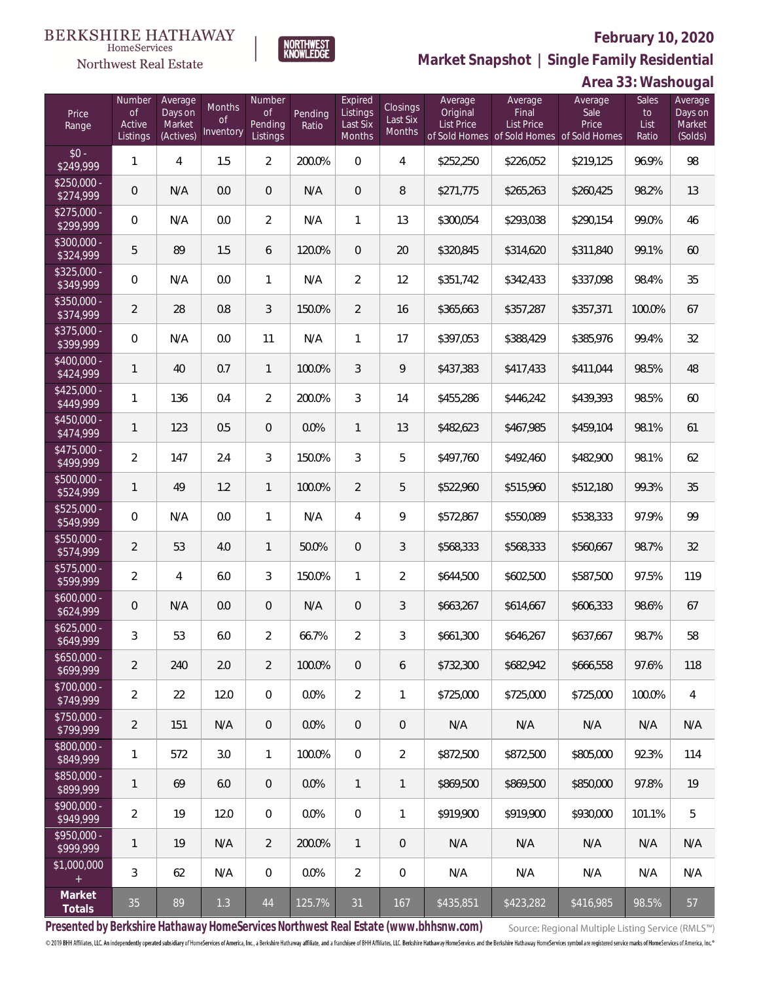

**NORTHWEST**<br>KNOWLEDGE

Northwest Real Estate

**Market Snapshot | Single Family Residential**

### **Area 33: Washougal**

| Price<br>Range            | Number<br><b>of</b><br>Active<br>Listings | Average<br>Days on<br>Market<br>(Actives) | Months<br>Οf<br>Inventory | Number<br><b>of</b><br>Pending<br>Listings | Pending<br>Ratio | Expired<br>Listings<br>Last Six<br>Months | Closings<br>Last Six<br>Months | Average<br>Original<br><b>List Price</b> | Average<br>Final<br><b>List Price</b> | Average<br>Sale<br>Price<br>of Sold Homes of Sold Homes of Sold Homes | Sales<br>to<br>List<br>Ratio | Average<br>Days on<br>Market<br>(Solds) |
|---------------------------|-------------------------------------------|-------------------------------------------|---------------------------|--------------------------------------------|------------------|-------------------------------------------|--------------------------------|------------------------------------------|---------------------------------------|-----------------------------------------------------------------------|------------------------------|-----------------------------------------|
| $$0 -$<br>\$249,999       | $\mathbf{1}$                              | $\overline{4}$                            | 1.5                       | $\overline{2}$                             | 200.0%           | $\overline{0}$                            | $\overline{4}$                 | \$252,250                                | \$226,052                             | \$219,125                                                             | 96.9%                        | 98                                      |
| $$250,000 -$<br>\$274,999 | $\mathbf 0$                               | N/A                                       | 0.0                       | $\overline{0}$                             | N/A              | $\overline{0}$                            | 8                              | \$271,775                                | \$265,263                             | \$260,425                                                             | 98.2%                        | 13                                      |
| $$275,000 -$<br>\$299,999 | $\mathbf{0}$                              | N/A                                       | 0.0                       | $\overline{2}$                             | N/A              | $\mathbf{1}$                              | 13                             | \$300,054                                | \$293,038                             | \$290,154                                                             | 99.0%                        | 46                                      |
| $$300,000 -$<br>\$324,999 | 5                                         | 89                                        | 1.5                       | 6                                          | 120.0%           | $\overline{0}$                            | 20                             | \$320,845                                | \$314,620                             | \$311,840                                                             | 99.1%                        | 60                                      |
| $$325,000 -$<br>\$349,999 | $\overline{0}$                            | N/A                                       | 0.0                       | $\mathbf{1}$                               | N/A              | $\overline{2}$                            | 12                             | \$351,742                                | \$342,433                             | \$337,098                                                             | 98.4%                        | 35                                      |
| $$350,000 -$<br>\$374,999 | $\overline{2}$                            | 28                                        | 0.8                       | 3                                          | 150.0%           | $\overline{2}$                            | 16                             | \$365,663                                | \$357,287                             | \$357,371                                                             | 100.0%                       | 67                                      |
| $$375,000 -$<br>\$399,999 | $\mathbf 0$                               | N/A                                       | 0.0                       | 11                                         | N/A              | $\mathbf{1}$                              | 17                             | \$397,053                                | \$388,429                             | \$385,976                                                             | 99.4%                        | 32                                      |
| $$400,000 -$<br>\$424,999 | $\mathbf{1}$                              | 40                                        | 0.7                       | $\mathbf{1}$                               | 100.0%           | 3                                         | 9                              | \$437,383                                | \$417,433                             | \$411,044                                                             | 98.5%                        | 48                                      |
| $$425,000 -$<br>\$449,999 | $\mathbf{1}$                              | 136                                       | 0.4                       | $\overline{2}$                             | 200.0%           | 3                                         | 14                             | \$455,286                                | \$446,242                             | \$439,393                                                             | 98.5%                        | 60                                      |
| $$450,000 -$<br>\$474,999 | $\mathbf{1}$                              | 123                                       | 0.5                       | $\overline{0}$                             | 0.0%             | $\mathbf{1}$                              | 13                             | \$482,623                                | \$467,985                             | \$459,104                                                             | 98.1%                        | 61                                      |
| $$475,000 -$<br>\$499,999 | $\overline{2}$                            | 147                                       | 2.4                       | 3                                          | 150.0%           | $\overline{3}$                            | 5                              | \$497,760                                | \$492,460                             | \$482,900                                                             | 98.1%                        | 62                                      |
| $$500,000 -$<br>\$524,999 | $\mathbf{1}$                              | 49                                        | 1.2                       | $\mathbf{1}$                               | 100.0%           | $\overline{2}$                            | 5                              | \$522,960                                | \$515,960                             | \$512,180                                                             | 99.3%                        | 35                                      |
| $$525,000 -$<br>\$549,999 | $\mathbf 0$                               | N/A                                       | 0.0                       | $\mathbf{1}$                               | N/A              | $\overline{4}$                            | 9                              | \$572,867                                | \$550,089                             | \$538,333                                                             | 97.9%                        | 99                                      |
| $$550,000 -$<br>\$574,999 | $\overline{2}$                            | 53                                        | 4.0                       | $\mathbf{1}$                               | 50.0%            | $\overline{0}$                            | 3                              | \$568,333                                | \$568,333                             | \$560,667                                                             | 98.7%                        | 32                                      |
| $$575,000 -$<br>\$599,999 | $\overline{2}$                            | $\overline{4}$                            | 6.0                       | 3                                          | 150.0%           | $\mathbf{1}$                              | $\overline{2}$                 | \$644,500                                | \$602,500                             | \$587,500                                                             | 97.5%                        | 119                                     |
| $$600,000 -$<br>\$624,999 | $\overline{0}$                            | N/A                                       | 0.0                       | $\overline{0}$                             | N/A              | $\overline{0}$                            | 3                              | \$663,267                                | \$614,667                             | \$606,333                                                             | 98.6%                        | 67                                      |
| $$625,000 -$<br>\$649,999 | $\mathfrak{Z}$                            | 53                                        | 6.0                       | $\overline{2}$                             | 66.7%            | $\overline{2}$                            | 3                              | \$661,300                                | \$646,267                             | \$637,667                                                             | 98.7%                        | 58                                      |
| $$650,000 -$<br>\$699,999 | $\overline{2}$                            | 240                                       | 2.0                       | $\overline{2}$                             | 100.0%           | $\mathbf 0$                               | 6                              | \$732,300                                | \$682,942                             | \$666,558                                                             | 97.6%                        | 118                                     |
| $$700,000 -$<br>\$749,999 | $\overline{a}$                            | 22                                        | 12.0                      | $\boldsymbol{0}$                           | 0.0%             | $\overline{2}$                            | 1                              | \$725,000                                | \$725,000                             | \$725,000                                                             | 100.0%                       | 4                                       |
| $$750,000 -$<br>\$799,999 | $\overline{2}$                            | 151                                       | N/A                       | $\overline{0}$                             | 0.0%             | $\mathbf 0$                               | 0                              | N/A                                      | N/A                                   | N/A                                                                   | N/A                          | N/A                                     |
| $$800,000 -$<br>\$849,999 | 1                                         | 572                                       | 3.0                       | $\mathbf{1}$                               | 100.0%           | $\mathbf 0$                               | $\overline{2}$                 | \$872,500                                | \$872,500                             | \$805,000                                                             | 92.3%                        | 114                                     |
| \$850,000 -<br>\$899,999  | $\mathbf{1}$                              | 69                                        | 6.0                       | $\mathbf 0$                                | 0.0%             | $\mathbf{1}$                              | 1                              | \$869,500                                | \$869,500                             | \$850,000                                                             | 97.8%                        | 19                                      |
| $$900,000 -$<br>\$949,999 | $\overline{2}$                            | 19                                        | 12.0                      | $\boldsymbol{0}$                           | 0.0%             | $\mathbf 0$                               | 1                              | \$919,900                                | \$919,900                             | \$930,000                                                             | 101.1%                       | 5                                       |
| \$950,000 -<br>\$999,999  | $\mathbf{1}$                              | 19                                        | N/A                       | $\overline{2}$                             | 200.0%           | $\mathbf{1}$                              | 0                              | N/A                                      | N/A                                   | N/A                                                                   | N/A                          | N/A                                     |
| \$1,000,000<br>$+$        | 3                                         | 62                                        | N/A                       | $\boldsymbol{0}$                           | 0.0%             | $\overline{2}$                            | 0                              | N/A                                      | N/A                                   | N/A                                                                   | N/A                          | N/A                                     |
| Market<br>Totals          | 35                                        | 89                                        | 1.3                       | $44$                                       | 125.7%           | 31                                        | 167                            | \$435,851                                | \$423,282                             | \$416,985                                                             | 98.5%                        | 57                                      |

**Presented by Berkshire Hathaway HomeServices Northwest Real Estate (www.bhhsnw.com)**

Source: Regional Multiple Listing Service (RMLS™)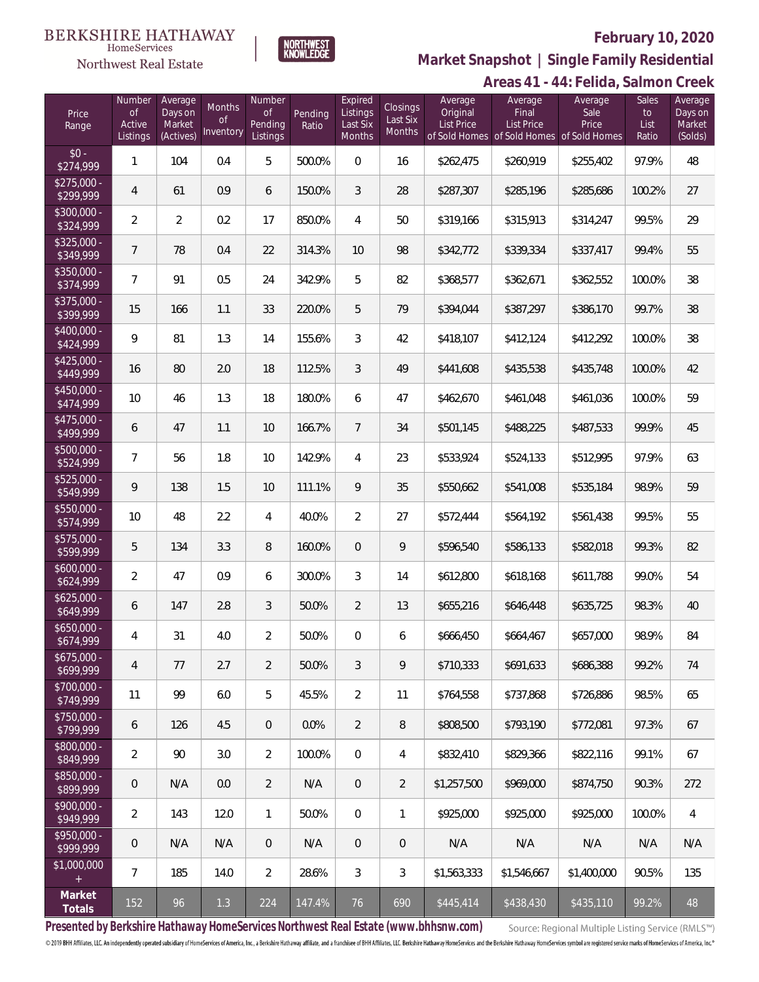#### **BERKSHIRE HATHAWAY**  $\label{lem:sevices} \textsc{Home} \textsc{Service} \textsc{s}$

Northwest Real Estate



#### **February 10, 2020**

**Areas 41 - 44: Felida, Salmon Creek Market Snapshot | Single Family Residential**

|                           |                                           |                                           |                                  |                                                   |                  |                                                  |                                              |                                   |                                                                                    | ALCAS 4 L - 44. LCHUA, JAHHUH ULCCN |                              |                                         |
|---------------------------|-------------------------------------------|-------------------------------------------|----------------------------------|---------------------------------------------------|------------------|--------------------------------------------------|----------------------------------------------|-----------------------------------|------------------------------------------------------------------------------------|-------------------------------------|------------------------------|-----------------------------------------|
| Price<br>Range            | Number<br><b>of</b><br>Active<br>Listings | Average<br>Days on<br>Market<br>(Actives) | Months<br><b>of</b><br>Inventory | <b>Number</b><br><b>of</b><br>Pending<br>Listings | Pending<br>Ratio | Expired<br>Listings<br>Last Six<br><b>Months</b> | <b>Closings</b><br>Last Six<br><b>Months</b> | Average<br>Original<br>List Price | Average<br>Final<br><b>List Price</b><br>of Sold Homes of Sold Homes of Sold Homes | Average<br>Sale<br>Price            | Sales<br>to<br>List<br>Ratio | Average<br>Days on<br>Market<br>(Solds) |
| $$0 -$<br>\$274,999       | 1                                         | 104                                       | 0.4                              | 5                                                 | 500.0%           | $\overline{0}$                                   | 16                                           | \$262,475                         | \$260,919                                                                          | \$255,402                           | 97.9%                        | 48                                      |
| $$275,000 -$<br>\$299,999 | $\overline{4}$                            | 61                                        | 0.9                              | 6                                                 | 150.0%           | 3                                                | 28                                           | \$287,307                         | \$285,196                                                                          | \$285,686                           | 100.2%                       | 27                                      |
| \$300,000 -<br>\$324,999  | 2                                         | $\overline{2}$                            | 0.2                              | 17                                                | 850.0%           | $\overline{4}$                                   | 50                                           | \$319,166                         | \$315,913                                                                          | \$314,247                           | 99.5%                        | 29                                      |
| $$325,000 -$<br>\$349,999 | $\overline{7}$                            | 78                                        | 0.4                              | 22                                                | 314.3%           | 10                                               | 98                                           | \$342,772                         | \$339,334                                                                          | \$337,417                           | 99.4%                        | 55                                      |
| $$350,000 -$<br>\$374,999 | 7                                         | 91                                        | 0.5                              | 24                                                | 342.9%           | 5                                                | 82                                           | \$368,577                         | \$362,671                                                                          | \$362,552                           | 100.0%                       | 38                                      |
| $$375,000 -$<br>\$399,999 | 15                                        | 166                                       | 1.1                              | 33                                                | 220.0%           | 5                                                | 79                                           | \$394,044                         | \$387,297                                                                          | \$386,170                           | 99.7%                        | 38                                      |
| $$400,000 -$<br>\$424,999 | 9                                         | 81                                        | 1.3                              | 14                                                | 155.6%           | 3                                                | 42                                           | \$418,107                         | \$412,124                                                                          | \$412,292                           | 100.0%                       | 38                                      |
| $$425,000 -$<br>\$449,999 | 16                                        | 80                                        | 2.0                              | 18                                                | 112.5%           | 3                                                | 49                                           | \$441,608                         | \$435,538                                                                          | \$435,748                           | 100.0%                       | 42                                      |
| $$450,000 -$<br>\$474,999 | 10                                        | 46                                        | 1.3                              | 18                                                | 180.0%           | 6                                                | 47                                           | \$462,670                         | \$461,048                                                                          | \$461,036                           | 100.0%                       | 59                                      |
| $$475,000 -$<br>\$499,999 | 6                                         | 47                                        | 1.1                              | 10                                                | 166.7%           | $\overline{7}$                                   | 34                                           | \$501,145                         | \$488,225                                                                          | \$487,533                           | 99.9%                        | 45                                      |
| $$500,000 -$<br>\$524,999 | 7                                         | 56                                        | 1.8                              | 10                                                | 142.9%           | 4                                                | 23                                           | \$533,924                         | \$524,133                                                                          | \$512,995                           | 97.9%                        | 63                                      |
| $$525,000 -$<br>\$549,999 | 9                                         | 138                                       | 1.5                              | 10                                                | 111.1%           | 9                                                | 35                                           | \$550,662                         | \$541,008                                                                          | \$535,184                           | 98.9%                        | 59                                      |
| $$550,000 -$<br>\$574,999 | 10                                        | 48                                        | 2.2                              | 4                                                 | 40.0%            | $\overline{2}$                                   | 27                                           | \$572,444                         | \$564,192                                                                          | \$561,438                           | 99.5%                        | 55                                      |
| \$575,000 -<br>\$599,999  | 5                                         | 134                                       | 3.3                              | $\, 8$                                            | 160.0%           | $\overline{0}$                                   | 9                                            | \$596,540                         | \$586,133                                                                          | \$582,018                           | 99.3%                        | 82                                      |
| $$600,000 -$<br>\$624,999 | $\overline{2}$                            | 47                                        | 0.9                              | 6                                                 | 300.0%           | 3                                                | 14                                           | \$612,800                         | \$618,168                                                                          | \$611,788                           | 99.0%                        | 54                                      |
| $$625,000 -$<br>\$649,999 | 6                                         | 147                                       | 2.8                              | 3                                                 | 50.0%            | $\overline{2}$                                   | 13                                           | \$655,216                         | \$646,448                                                                          | \$635,725                           | 98.3%                        | 40                                      |
| $$650,000 -$<br>\$674,999 | 4                                         | 31                                        | 4.0                              | 2                                                 | 50.0%            | 0                                                | 6                                            | \$666,450                         | \$664,467                                                                          | \$657,000                           | 98.9%                        | 84                                      |
| $$675,000 -$<br>\$699,999 | $\overline{4}$                            | 77                                        | 2.7                              | $\overline{2}$                                    | 50.0%            | 3                                                | 9                                            | \$710,333                         | \$691,633                                                                          | \$686,388                           | 99.2%                        | 74                                      |
| \$700,000 -<br>\$749,999  | 11                                        | 99                                        | 6.0                              | 5                                                 | 45.5%            | $\overline{2}$                                   | 11                                           | \$764,558                         | \$737,868                                                                          | \$726,886                           | 98.5%                        | 65                                      |
| \$750,000 -<br>\$799,999  | 6                                         | 126                                       | 4.5                              | $\overline{0}$                                    | 0.0%             | $\overline{2}$                                   | 8                                            | \$808,500                         | \$793,190                                                                          | \$772,081                           | 97.3%                        | 67                                      |
| \$800,000 -<br>\$849,999  | $\overline{2}$                            | 90                                        | 3.0                              | $\overline{2}$                                    | 100.0%           | $\overline{0}$                                   | 4                                            | \$832,410                         | \$829,366                                                                          | \$822,116                           | 99.1%                        | 67                                      |
| \$850,000 -<br>\$899,999  | 0                                         | N/A                                       | 0.0                              | $\overline{2}$                                    | N/A              | 0                                                | $\overline{2}$                               | \$1,257,500                       | \$969,000                                                                          | \$874,750                           | 90.3%                        | 272                                     |
| \$900,000 -<br>\$949,999  | $\overline{2}$                            | 143                                       | 12.0                             | $\mathbf{1}$                                      | 50.0%            | $\overline{0}$                                   | 1                                            | \$925,000                         | \$925,000                                                                          | \$925,000                           | 100.0%                       | $\overline{4}$                          |
| \$950,000 -<br>\$999,999  | 0                                         | N/A                                       | N/A                              | $\overline{0}$                                    | N/A              | 0                                                | $\overline{0}$                               | N/A                               | N/A                                                                                | N/A                                 | N/A                          | N/A                                     |
| \$1,000,000<br>$\pm$      | $\overline{7}$                            | 185                                       | 14.0                             | $\overline{2}$                                    | 28.6%            | 3                                                | 3                                            | \$1,563,333                       | \$1,546,667                                                                        | \$1,400,000                         | 90.5%                        | 135                                     |
| Market<br>Totals          | 152                                       | 96                                        | 1.3                              | 224                                               | 147.4%           | 76                                               | 690                                          | \$445,414                         | \$438,430                                                                          | \$435,110                           | 99.2%                        | 48                                      |

**Presented by Berkshire Hathaway HomeServices Northwest Real Estate (www.bhhsnw.com)**

Source: Regional Multiple Listing Service (RMLS™)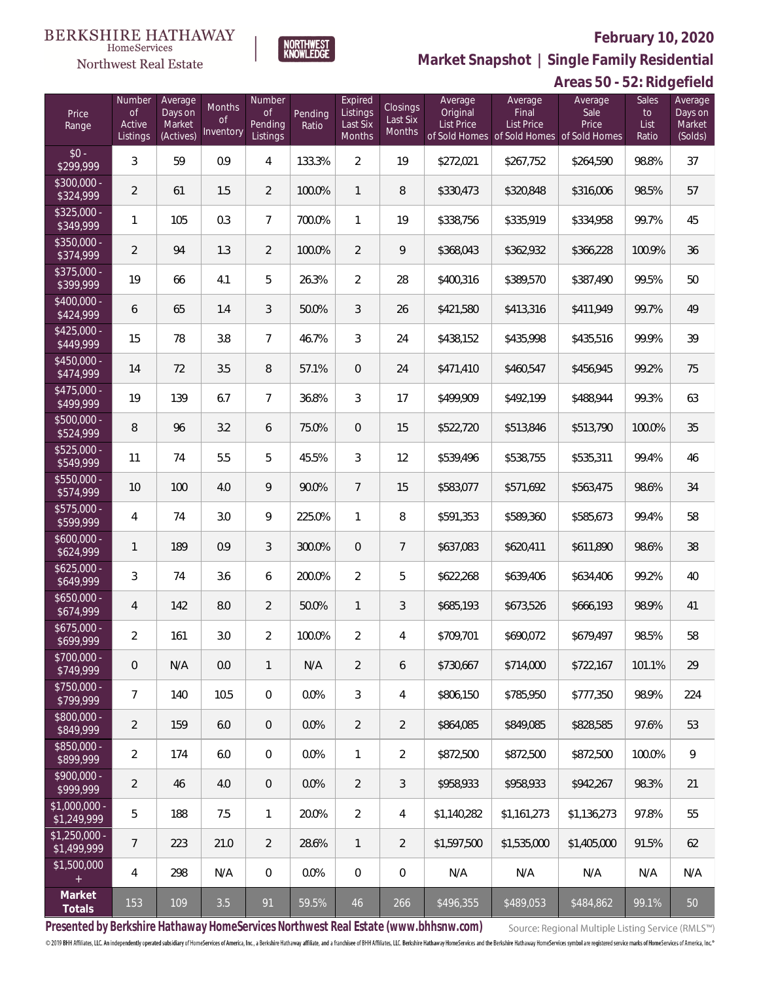

**Market Snapshot | Single Family Residential**

**Areas 50 - 52: Ridgefield**

| <b>HomeServices</b>          |  |
|------------------------------|--|
| <b>Northwest Real Estate</b> |  |

| Price<br>Range                   | Number<br><b>of</b><br>Active<br>Listings | Average<br>Days on<br>Market<br>(Actives) | Months<br>0f<br>Inventory | Number<br><b>of</b><br>Pending<br>Listings | Pending<br>Ratio | Expired<br>Listings<br>Last Six<br><b>Months</b> | Closings<br>Last Six<br>Months | Average<br>Original<br><b>List Price</b> | Average<br>Final<br><b>List Price</b><br>of Sold Homes of Sold Homes of Sold Homes | Average<br>Sale<br>Price | Sales<br>to<br>List<br>Ratio | Average<br>Days on<br>Market<br>(Solds) |
|----------------------------------|-------------------------------------------|-------------------------------------------|---------------------------|--------------------------------------------|------------------|--------------------------------------------------|--------------------------------|------------------------------------------|------------------------------------------------------------------------------------|--------------------------|------------------------------|-----------------------------------------|
| $$0 -$<br>\$299,999              | 3                                         | 59                                        | 0.9                       | $\overline{4}$                             | 133.3%           | $\overline{2}$                                   | 19                             | \$272,021                                | \$267,752                                                                          | \$264,590                | 98.8%                        | 37                                      |
| $$300,000 -$<br>\$324,999        | $\overline{2}$                            | 61                                        | 1.5                       | $\overline{2}$                             | 100.0%           | $\mathbf{1}$                                     | 8                              | \$330,473                                | \$320,848                                                                          | \$316,006                | 98.5%                        | 57                                      |
| $$325,000 -$<br>\$349,999        | $\mathbf{1}$                              | 105                                       | 0.3                       | $\overline{7}$                             | 700.0%           | $\mathbf{1}$                                     | 19                             | \$338,756                                | \$335,919                                                                          | \$334,958                | 99.7%                        | 45                                      |
| $$350,000 -$<br>\$374,999        | $\overline{2}$                            | 94                                        | 1.3                       | $\overline{2}$                             | 100.0%           | $\overline{2}$                                   | 9                              | \$368,043                                | \$362,932                                                                          | \$366,228                | 100.9%                       | 36                                      |
| $$375,000 -$<br>\$399,999        | 19                                        | 66                                        | 4.1                       | 5                                          | 26.3%            | $\overline{2}$                                   | 28                             | \$400,316                                | \$389,570                                                                          | \$387,490                | 99.5%                        | 50                                      |
| $$400,000 -$<br>\$424,999        | 6                                         | 65                                        | 1.4                       | 3                                          | 50.0%            | $\mathfrak{Z}$                                   | 26                             | \$421,580                                | \$413,316                                                                          | \$411,949                | 99.7%                        | 49                                      |
| $$425,000 -$<br>\$449,999        | 15                                        | 78                                        | 3.8                       | $\overline{7}$                             | 46.7%            | 3                                                | 24                             | \$438,152                                | \$435,998                                                                          | \$435,516                | 99.9%                        | 39                                      |
| $$450,000 -$<br>\$474,999        | 14                                        | 72                                        | 3.5                       | 8                                          | 57.1%            | $\overline{0}$                                   | 24                             | \$471,410                                | \$460,547                                                                          | \$456,945                | 99.2%                        | 75                                      |
| $$475,000 -$<br>\$499,999        | 19                                        | 139                                       | 6.7                       | $\overline{7}$                             | 36.8%            | 3                                                | 17                             | \$499,909                                | \$492,199                                                                          | \$488,944                | 99.3%                        | 63                                      |
| $$500,000 -$<br>\$524,999        | 8                                         | 96                                        | 3.2                       | 6                                          | 75.0%            | $\overline{0}$                                   | 15                             | \$522,720                                | \$513,846                                                                          | \$513,790                | 100.0%                       | 35                                      |
| $$525,000 -$<br>\$549,999        | 11                                        | 74                                        | 5.5                       | 5                                          | 45.5%            | 3                                                | 12                             | \$539,496                                | \$538,755                                                                          | \$535,311                | 99.4%                        | 46                                      |
| $$550,000 -$<br>\$574,999        | 10                                        | 100                                       | 4.0                       | 9                                          | 90.0%            | $7\overline{ }$                                  | 15                             | \$583,077                                | \$571,692                                                                          | \$563,475                | 98.6%                        | 34                                      |
| $$575,000 -$<br>\$599,999        | $\overline{4}$                            | 74                                        | 3.0                       | 9                                          | 225.0%           | $\mathbf{1}$                                     | 8                              | \$591,353                                | \$589,360                                                                          | \$585,673                | 99.4%                        | 58                                      |
| $$600,000 -$<br>\$624,999        | $\mathbf{1}$                              | 189                                       | 0.9                       | $\mathfrak{Z}$                             | 300.0%           | $\overline{0}$                                   | $\overline{7}$                 | \$637,083                                | \$620,411                                                                          | \$611,890                | 98.6%                        | 38                                      |
| $$625,000 -$<br>\$649,999        | 3                                         | 74                                        | 3.6                       | 6                                          | 200.0%           | $\overline{2}$                                   | 5                              | \$622,268                                | \$639,406                                                                          | \$634,406                | 99.2%                        | 40                                      |
| $$650,000 -$<br>\$674,999        | 4                                         | 142                                       | 8.0                       | $\overline{2}$                             | 50.0%            | $\mathbf{1}$                                     | 3                              | \$685,193                                | \$673,526                                                                          | \$666,193                | 98.9%                        | 41                                      |
| \$675,000 -<br>\$699,999         | $\overline{2}$                            | 161                                       | 3.0                       | $\overline{2}$                             | 100.0%           | $\overline{2}$                                   | 4                              | \$709,701                                | \$690,072                                                                          | \$679,497                | 98.5%                        | 58                                      |
| $\sqrt{$700,000}$ -<br>\$749,999 | $\mathbf 0$                               | N/A                                       | 0.0                       | $\mathbf{1}$                               | N/A              | $\overline{2}$                                   | 6                              | \$730,667                                | \$714,000                                                                          | \$722,167                | 101.1%                       | 29                                      |
| $$750,000 -$<br>\$799,999        | $\overline{7}$                            | 140                                       | 10.5                      | 0                                          | 0.0%             | $\mathfrak{Z}$                                   | 4                              | \$806,150                                | \$785,950                                                                          | \$777,350                | 98.9%                        | 224                                     |
| $$800,000 -$<br>\$849,999        | $\overline{2}$                            | 159                                       | 6.0                       | $\overline{0}$                             | 0.0%             | $\overline{2}$                                   | $\overline{2}$                 | \$864,085                                | \$849,085                                                                          | \$828,585                | 97.6%                        | 53                                      |
| $$850,000 -$<br>\$899,999        | $\overline{2}$                            | 174                                       | 6.0                       | 0                                          | 0.0%             | 1                                                | $\overline{2}$                 | \$872,500                                | \$872,500                                                                          | \$872,500                | 100.0%                       | 9                                       |
| $$900,000 -$<br>\$999,999        | $\overline{2}$                            | 46                                        | 4.0                       | $\overline{0}$                             | 0.0%             | $\overline{2}$                                   | $\sqrt{3}$                     | \$958,933                                | \$958,933                                                                          | \$942,267                | 98.3%                        | 21                                      |
| \$1,000,000 -<br>\$1,249,999     | 5                                         | 188                                       | 7.5                       | $\mathbf{1}$                               | 20.0%            | $\overline{2}$                                   | 4                              | \$1,140,282                              | \$1,161,273                                                                        | \$1,136,273              | 97.8%                        | 55                                      |
| $$1,250,000$ -<br>\$1,499,999    | $\overline{7}$                            | 223                                       | 21.0                      | $\overline{2}$                             | 28.6%            | $\mathbf{1}$                                     | $\overline{2}$                 | \$1,597,500                              | \$1,535,000                                                                        | \$1,405,000              | 91.5%                        | 62                                      |
| \$1,500,000<br>$+$               | $\overline{4}$                            | 298                                       | N/A                       | 0                                          | $0.0\%$          | $\overline{0}$                                   | $\mathbf 0$                    | N/A                                      | N/A                                                                                | N/A                      | N/A                          | N/A                                     |
| Market<br>Totals                 | 153                                       | 109                                       | 3.5                       | 91                                         | 59.5%            | 46                                               | 266                            | \$496,355                                | \$489,053                                                                          | \$484,862                | 99.1%                        | 50                                      |

**Presented by Berkshire Hathaway HomeServices Northwest Real Estate (www.bhhsnw.com)**

Source: Regional Multiple Listing Service (RMLS™)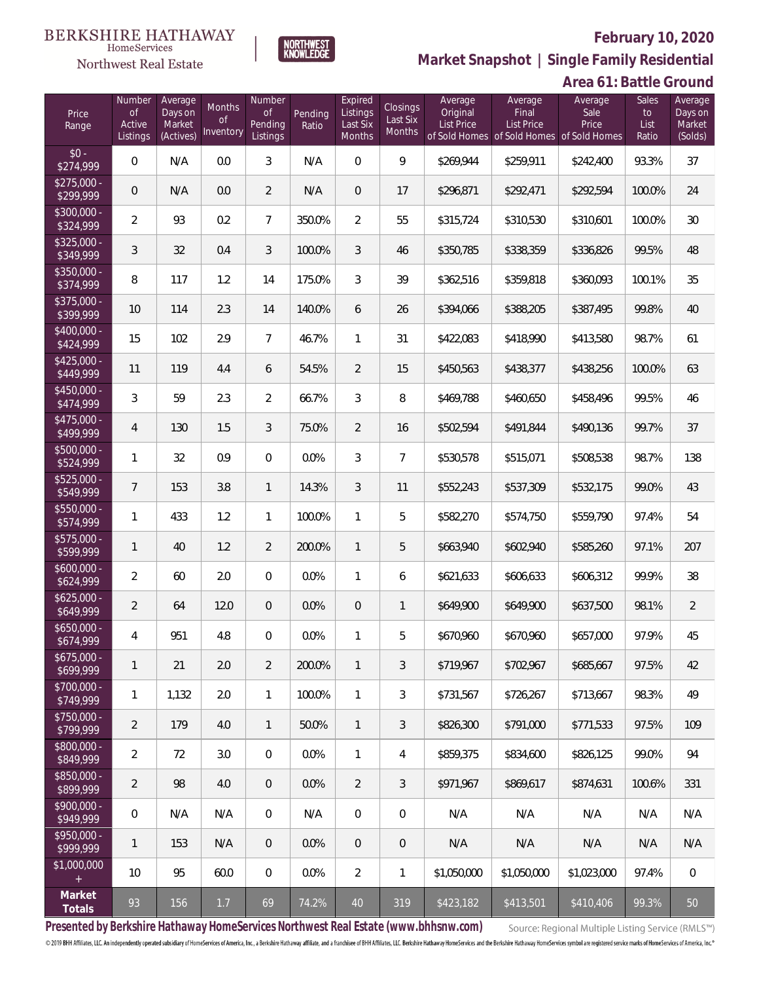

**NORTHWEST**<br>KNOWLEDGE

Northwest Real Estate

**Market Snapshot | Single Family Residential**

# **Area 61: Battle Ground**

| Price<br>Range            | Number<br><b>of</b><br>Active<br>Listings | Average<br>Days on<br>Market<br>(Actives) | Months<br>-of<br>Inventory | Number<br><b>of</b><br>Pending<br>Listings | Pending<br>Ratio | Expired<br>Listings<br>Last Six<br>Months | Closings<br>Last Six<br>Months | Average<br>Original<br><b>List Price</b> | Average<br>Final<br><b>List Price</b><br>of Sold Homes of Sold Homes of Sold Homes | Average<br>Sale<br>Price | Sales<br>to<br>List<br>Ratio | Average<br>Days on<br>Market<br>(Solds) |
|---------------------------|-------------------------------------------|-------------------------------------------|----------------------------|--------------------------------------------|------------------|-------------------------------------------|--------------------------------|------------------------------------------|------------------------------------------------------------------------------------|--------------------------|------------------------------|-----------------------------------------|
| $$0 -$<br>\$274,999       | $\overline{0}$                            | N/A                                       | 0.0                        | 3                                          | N/A              | $\Omega$                                  | 9                              | \$269,944                                | \$259,911                                                                          | \$242,400                | 93.3%                        | 37                                      |
| $$275,000 -$<br>\$299,999 | $\overline{0}$                            | N/A                                       | 0.0                        | $\overline{2}$                             | N/A              | $\overline{0}$                            | 17                             | \$296,871                                | \$292,471                                                                          | \$292,594                | 100.0%                       | 24                                      |
| \$300,000 -<br>\$324,999  | $\overline{2}$                            | 93                                        | 0.2                        | $\overline{7}$                             | 350.0%           | $\overline{2}$                            | 55                             | \$315,724                                | \$310,530                                                                          | \$310,601                | 100.0%                       | 30                                      |
| $$325,000 -$<br>\$349,999 | 3                                         | 32                                        | 0.4                        | 3                                          | 100.0%           | 3                                         | 46                             | \$350,785                                | \$338,359                                                                          | \$336,826                | 99.5%                        | 48                                      |
| $$350,000 -$<br>\$374,999 | 8                                         | 117                                       | 1.2                        | 14                                         | 175.0%           | 3                                         | 39                             | \$362,516                                | \$359,818                                                                          | \$360,093                | 100.1%                       | 35                                      |
| $$375,000 -$<br>\$399,999 | 10                                        | 114                                       | 2.3                        | 14                                         | 140.0%           | 6                                         | 26                             | \$394,066                                | \$388,205                                                                          | \$387,495                | 99.8%                        | 40                                      |
| $$400,000 -$<br>\$424,999 | 15                                        | 102                                       | 2.9                        | $\overline{7}$                             | 46.7%            | $\mathbf{1}$                              | 31                             | \$422,083                                | \$418,990                                                                          | \$413,580                | 98.7%                        | 61                                      |
| $$425,000 -$<br>\$449,999 | 11                                        | 119                                       | 4.4                        | 6                                          | 54.5%            | $\overline{2}$                            | 15                             | \$450,563                                | \$438,377                                                                          | \$438,256                | 100.0%                       | 63                                      |
| $$450,000 -$<br>\$474,999 | 3                                         | 59                                        | 2.3                        | $\overline{2}$                             | 66.7%            | 3                                         | 8                              | \$469,788                                | \$460,650                                                                          | \$458,496                | 99.5%                        | 46                                      |
| $$475,000 -$<br>\$499,999 | $\overline{4}$                            | 130                                       | 1.5                        | 3                                          | 75.0%            | $\overline{2}$                            | 16                             | \$502,594                                | \$491,844                                                                          | \$490,136                | 99.7%                        | 37                                      |
| $$500,000 -$<br>\$524,999 | $\mathbf{1}$                              | 32                                        | 0.9                        | $\overline{0}$                             | 0.0%             | 3                                         | $\overline{7}$                 | \$530,578                                | \$515,071                                                                          | \$508,538                | 98.7%                        | 138                                     |
| $$525,000 -$<br>\$549,999 | $\overline{7}$                            | 153                                       | 3.8                        | $\mathbf{1}$                               | 14.3%            | 3                                         | 11                             | \$552,243                                | \$537,309                                                                          | \$532,175                | 99.0%                        | 43                                      |
| $$550,000 -$<br>\$574,999 | $\mathbf{1}$                              | 433                                       | 1.2                        | $\mathbf{1}$                               | 100.0%           | $\mathbf{1}$                              | 5                              | \$582,270                                | \$574,750                                                                          | \$559,790                | 97.4%                        | 54                                      |
| \$575,000 -<br>\$599,999  | $\mathbf{1}$                              | 40                                        | 1.2                        | $\overline{2}$                             | 200.0%           | $\mathbf{1}$                              | 5                              | \$663,940                                | \$602,940                                                                          | \$585,260                | 97.1%                        | 207                                     |
| $$600,000 -$<br>\$624,999 | $\overline{2}$                            | 60                                        | 2.0                        | $\overline{0}$                             | 0.0%             | $\mathbf{1}$                              | 6                              | \$621,633                                | \$606,633                                                                          | \$606,312                | 99.9%                        | 38                                      |
| $$625,000 -$<br>\$649,999 | $\overline{2}$                            | 64                                        | 12.0                       | $\overline{0}$                             | 0.0%             | $\overline{0}$                            | $\mathbf{1}$                   | \$649,900                                | \$649,900                                                                          | \$637,500                | 98.1%                        | $\overline{2}$                          |
| $$650,000 -$<br>\$674,999 | 4                                         | 951                                       | 4.8                        | $\overline{0}$                             | 0.0%             | 1                                         | 5                              | \$670,960                                | \$670,960                                                                          | \$657,000                | 97.9%                        | 45                                      |
| $$675,000 -$<br>\$699,999 | $\mathbf{1}$                              | 21                                        | 2.0                        | $\overline{2}$                             | 200.0%           | 1                                         | 3                              | \$719,967                                | \$702,967                                                                          | \$685,667                | 97.5%                        | 42                                      |
| \$700,000 -<br>\$749,999  | $\mathbf{1}$                              | 1,132                                     | 2.0                        | $\mathbf{1}$                               | 100.0%           | $\mathbf{1}$                              | 3                              | \$731,567                                | \$726,267                                                                          | \$713,667                | 98.3%                        | 49                                      |
| \$750,000 -<br>\$799,999  | $\overline{2}$                            | 179                                       | 4.0                        | $\mathbf{1}$                               | 50.0%            | $\mathbf{1}$                              | 3                              | \$826,300                                | \$791,000                                                                          | \$771,533                | 97.5%                        | 109                                     |
| \$800,000 -<br>\$849,999  | $\overline{2}$                            | 72                                        | 3.0                        | $\overline{0}$                             | 0.0%             | $\mathbf{1}$                              | 4                              | \$859,375                                | \$834,600                                                                          | \$826,125                | 99.0%                        | 94                                      |
| \$850,000 -<br>\$899,999  | $\overline{2}$                            | 98                                        | 4.0                        | $\overline{0}$                             | 0.0%             | $\overline{2}$                            | 3                              | \$971,967                                | \$869,617                                                                          | \$874,631                | 100.6%                       | 331                                     |
| \$900,000 -<br>\$949,999  | $\mathbf 0$                               | N/A                                       | N/A                        | $\overline{0}$                             | N/A              | $\mathbf 0$                               | 0                              | N/A                                      | N/A                                                                                | N/A                      | N/A                          | N/A                                     |
| \$950,000 -<br>\$999,999  | $\mathbf{1}$                              | 153                                       | N/A                        | $\overline{0}$                             | 0.0%             | $\theta$                                  | $\theta$                       | N/A                                      | N/A                                                                                | N/A                      | N/A                          | N/A                                     |
| \$1,000,000<br>$+$        | 10                                        | 95                                        | 60.0                       | $\overline{0}$                             | 0.0%             | $\overline{2}$                            | 1                              | \$1,050,000                              | \$1,050,000                                                                        | \$1,023,000              | 97.4%                        | $\mathbf 0$                             |
| Market<br>Totals          | 93                                        | 156                                       | 1.7                        | 69                                         | 74.2%            | 40                                        | 319                            | \$423,182                                | \$413,501                                                                          | \$410,406                | 99.3%                        | 50                                      |

**Presented by Berkshire Hathaway HomeServices Northwest Real Estate (www.bhhsnw.com)**

Source: Regional Multiple Listing Service (RMLS™)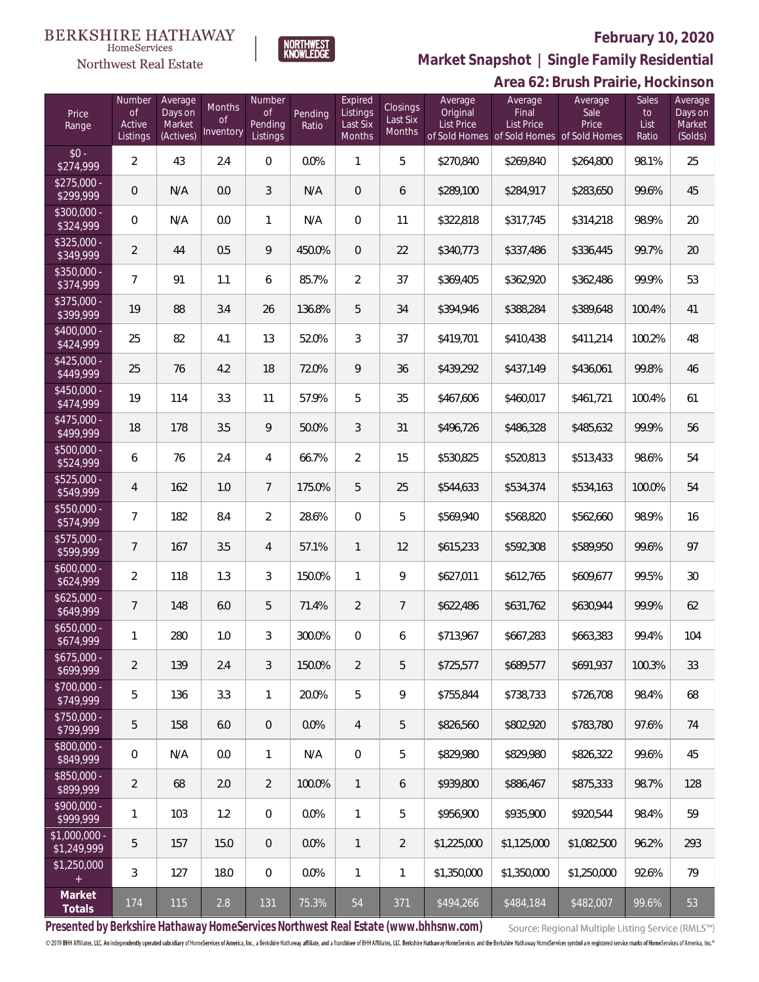# **BERKSHIRE HATHAWAY**



NORTHWEST<br>KNOWLEDGE

## **February 10, 2020**

**Market Snapshot | Single Family Residential**

|                               |                                           |                                           |                                  |                                            |                  |                                           |                                       |                                          |                                                                             | Area 62: Brush Prairie, Hockinson |                                     |                                         |
|-------------------------------|-------------------------------------------|-------------------------------------------|----------------------------------|--------------------------------------------|------------------|-------------------------------------------|---------------------------------------|------------------------------------------|-----------------------------------------------------------------------------|-----------------------------------|-------------------------------------|-----------------------------------------|
| Price<br>Range                | Number<br><b>of</b><br>Active<br>Listings | Average<br>Days on<br>Market<br>(Actives) | Months<br><b>of</b><br>Inventory | Number<br><b>of</b><br>Pending<br>Listings | Pending<br>Ratio | Expired<br>Listings<br>Last Six<br>Months | <b>Closings</b><br>Last Six<br>Months | Average<br>Original<br><b>List Price</b> | Average<br>Final<br>List Price<br>of Sold Homes of Sold Homes of Sold Homes | Average<br>Sale<br>Price          | <b>Sales</b><br>to<br>List<br>Ratio | Average<br>Days on<br>Market<br>(Solds) |
| $$0 -$<br>\$274,999           | $\overline{a}$                            | 43                                        | 2.4                              | $\,0\,$                                    | 0.0%             | $\mathbf{1}$                              | 5                                     | \$270,840                                | \$269,840                                                                   | \$264,800                         | 98.1%                               | 25                                      |
| $$275,000 -$<br>\$299,999     | $\mathbf 0$                               | N/A                                       | 0.0                              | $\mathfrak{Z}$                             | N/A              | $\mathbf 0$                               | 6                                     | \$289,100                                | \$284,917                                                                   | \$283,650                         | 99.6%                               | 45                                      |
| $$300,000 -$<br>\$324,999     | $\mathbf 0$                               | N/A                                       | 0.0                              | $\mathbf{1}$                               | N/A              | $\mathbf 0$                               | 11                                    | \$322,818                                | \$317,745                                                                   | \$314,218                         | 98.9%                               | 20                                      |
| \$325,000 -<br>\$349,999      | $\overline{2}$                            | 44                                        | 0.5                              | $\,9$                                      | 450.0%           | $\mathbf 0$                               | 22                                    | \$340,773                                | \$337,486                                                                   | \$336,445                         | 99.7%                               | 20                                      |
| $$350,000 -$<br>\$374,999     | $\overline{7}$                            | 91                                        | 1.1                              | 6                                          | 85.7%            | $\overline{2}$                            | 37                                    | \$369,405                                | \$362,920                                                                   | \$362,486                         | 99.9%                               | 53                                      |
| $$375,000 -$<br>\$399,999     | 19                                        | 88                                        | 3.4                              | 26                                         | 136.8%           | 5                                         | 34                                    | \$394,946                                | \$388,284                                                                   | \$389,648                         | 100.4%                              | 41                                      |
| $$400,000 -$<br>\$424,999     | 25                                        | 82                                        | 4.1                              | 13                                         | 52.0%            | $\mathfrak{Z}$                            | 37                                    | \$419,701                                | \$410,438                                                                   | \$411,214                         | 100.2%                              | 48                                      |
| $$425,000 -$<br>\$449,999     | 25                                        | 76                                        | 4.2                              | 18                                         | 72.0%            | $\overline{9}$                            | 36                                    | \$439,292                                | \$437,149                                                                   | \$436,061                         | 99.8%                               | 46                                      |
| $$450,000 -$<br>\$474,999     | 19                                        | 114                                       | 3.3                              | 11                                         | 57.9%            | 5                                         | 35                                    | \$467,606                                | \$460,017                                                                   | \$461,721                         | 100.4%                              | 61                                      |
| $$475,000 -$<br>\$499,999     | 18                                        | 178                                       | 3.5                              | $\,9$                                      | 50.0%            | $\mathfrak{Z}$                            | 31                                    | \$496,726                                | \$486,328                                                                   | \$485,632                         | 99.9%                               | 56                                      |
| $$500,000 -$<br>\$524,999     | 6                                         | 76                                        | 2.4                              | 4                                          | 66.7%            | $\overline{2}$                            | 15                                    | \$530,825                                | \$520,813                                                                   | \$513,433                         | 98.6%                               | 54                                      |
| \$525,000 -<br>\$549,999      | 4                                         | 162                                       | 1.0                              | $\overline{7}$                             | 175.0%           | 5                                         | 25                                    | \$544,633                                | \$534,374                                                                   | \$534,163                         | 100.0%                              | 54                                      |
| \$550,000 -<br>\$574,999      | 7                                         | 182                                       | 8.4                              | $\overline{2}$                             | 28.6%            | $\mathbf 0$                               | 5                                     | \$569,940                                | \$568,820                                                                   | \$562,660                         | 98.9%                               | 16                                      |
| \$575,000 -<br>\$599,999      | $\overline{7}$                            | 167                                       | 3.5                              | 4                                          | 57.1%            | $\overline{\phantom{a}}$                  | 12                                    | \$615,233                                | \$592,308                                                                   | \$589,950                         | 99.6%                               | 97                                      |
| $$600,000 -$<br>\$624,999     | $\overline{a}$                            | 118                                       | 1.3                              | $\mathfrak{Z}$                             | 150.0%           | $\mathbf{1}$                              | $\mathsf{Q}$                          | \$627,011                                | \$612,765                                                                   | \$609,677                         | 99.5%                               | 30                                      |
| $$625,000 -$<br>\$649,999     | 7                                         | 148                                       | 6.0                              | 5                                          | 71.4%            | $\overline{2}$                            | $\overline{7}$                        | \$622,486                                | \$631,762                                                                   | \$630,944                         | 99.9%                               | 62                                      |
| \$650,000<br>\$674,999        | $\mathbf{1}$                              | 280                                       | 1.0                              | 3                                          | 300.0%           | $\overline{0}$                            | 6                                     | \$713,967                                | \$667,283                                                                   | \$663,383                         | 99.4%                               | 104                                     |
| $$675,000 -$<br>\$699,999     | $\overline{a}$                            | 139                                       | 2.4                              | $\mathfrak{Z}$                             | 150.0%           | $\overline{2}$                            | 5                                     | \$725,577                                | \$689,577                                                                   | \$691,937                         | 100.3%                              | 33                                      |
| \$700,000 -<br>\$749,999      | 5                                         | 136                                       | 3.3                              | $\mathbf{1}$                               | 20.0%            | 5                                         | 9                                     | \$755,844                                | \$738,733                                                                   | \$726,708                         | 98.4%                               | 68                                      |
| \$750,000 -<br>\$799,999      | 5                                         | 158                                       | 6.0                              | $\mathbf 0$                                | 0.0%             | $\overline{4}$                            | 5                                     | \$826,560                                | \$802,920                                                                   | \$783,780                         | 97.6%                               | 74                                      |
| \$800,000 -<br>\$849,999      | $\mathbf 0$                               | N/A                                       | 0.0                              | $\mathbf{1}$                               | N/A              | $\overline{0}$                            | 5                                     | \$829,980                                | \$829,980                                                                   | \$826,322                         | 99.6%                               | 45                                      |
| \$850,000 -<br>\$899,999      | $\overline{2}$                            | 68                                        | 2.0                              | $\overline{2}$                             | 100.0%           | $\overline{1}$                            | 6                                     | \$939,800                                | \$886,467                                                                   | \$875,333                         | 98.7%                               | 128                                     |
| \$900,000 -<br>\$999,999      | 1                                         | 103                                       | 1.2                              | $\mathbf{0}$                               | 0.0%             | $\mathbf{1}$                              | 5                                     | \$956,900                                | \$935,900                                                                   | \$920,544                         | 98.4%                               | 59                                      |
| $$1,000,000 -$<br>\$1,249,999 | 5                                         | 157                                       | 15.0                             | $\overline{0}$                             | 0.0%             | $\overline{1}$                            | $\overline{2}$                        | \$1,225,000                              | \$1,125,000                                                                 | \$1,082,500                       | 96.2%                               | 293                                     |
| \$1,250,000<br>$^+$           | 3                                         | 127                                       | 18.0                             | $\,0\,$                                    | 0.0%             | $\mathbf{1}$                              | $\mathbf{1}$                          | \$1,350,000                              | \$1,350,000                                                                 | \$1,250,000                       | 92.6%                               | 79                                      |
| Market<br>Totals              | 174                                       | 115                                       | 2.8                              | 131                                        | 75.3%            | 54                                        | 371                                   | \$494,266                                | \$484,184                                                                   | \$482,007                         | 99.6%                               | 53                                      |

**Presented by Berkshire Hathaway HomeServices Northwest Real Estate (www.bhhsnw.com)**

Source: Regional Multiple Listing Service (RMLS™)